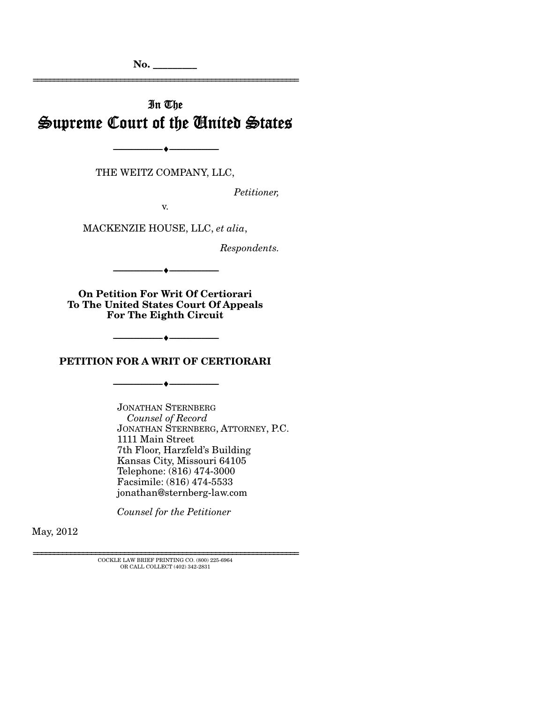**No. \_\_\_\_\_\_\_\_\_** 

# In The Supreme Court of the United States

THE WEITZ COMPANY, LLC,

--------------------------------- ---------------------------------

*Petitioner,* 

================================================================

v.

MACKENZIE HOUSE, LLC, *et alia*,

*Respondents.* 

**On Petition For Writ Of Certiorari To The United States Court Of Appeals For The Eighth Circuit** 

--------------------------------- ---------------------------------

**PETITION FOR A WRIT OF CERTIORARI** 

--------------------------------- ---------------------------------

--------------------------------- ---------------------------------

JONATHAN STERNBERG  *Counsel of Record*  JONATHAN STERNBERG, ATTORNEY, P.C. 1111 Main Street 7th Floor, Harzfeld's Building Kansas City, Missouri 64105 Telephone: (816) 474-3000 Facsimile: (816) 474-5533 jonathan@sternberg-law.com

*Counsel for the Petitioner* 

May, 2012

================================================================ COCKLE LAW BRIEF PRINTING CO. (800) 225-6964 OR CALL COLLECT (402) 342-2831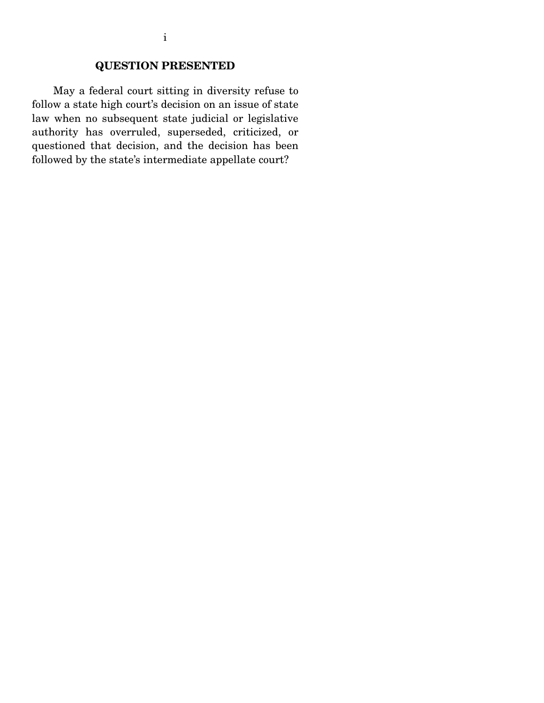## **QUESTION PRESENTED**

 May a federal court sitting in diversity refuse to follow a state high court's decision on an issue of state law when no subsequent state judicial or legislative authority has overruled, superseded, criticized, or questioned that decision, and the decision has been followed by the state's intermediate appellate court?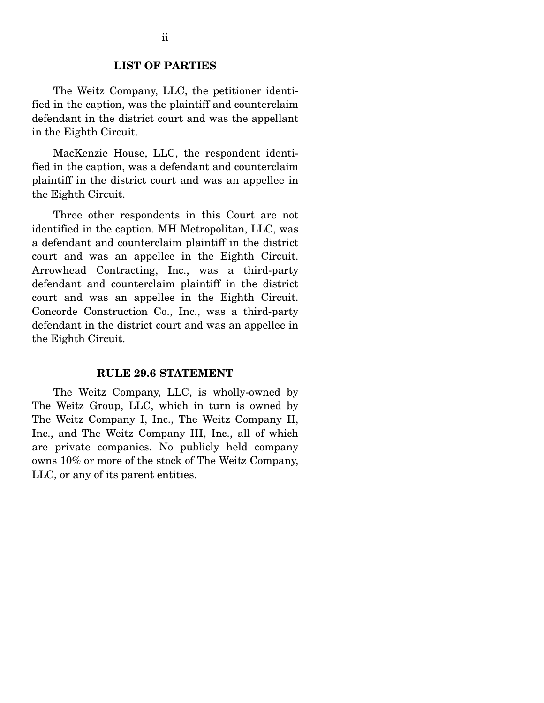#### **LIST OF PARTIES**

 The Weitz Company, LLC, the petitioner identified in the caption, was the plaintiff and counterclaim defendant in the district court and was the appellant in the Eighth Circuit.

 MacKenzie House, LLC, the respondent identified in the caption, was a defendant and counterclaim plaintiff in the district court and was an appellee in the Eighth Circuit.

 Three other respondents in this Court are not identified in the caption. MH Metropolitan, LLC, was a defendant and counterclaim plaintiff in the district court and was an appellee in the Eighth Circuit. Arrowhead Contracting, Inc., was a third-party defendant and counterclaim plaintiff in the district court and was an appellee in the Eighth Circuit. Concorde Construction Co., Inc., was a third-party defendant in the district court and was an appellee in the Eighth Circuit.

#### **RULE 29.6 STATEMENT**

 The Weitz Company, LLC, is wholly-owned by The Weitz Group, LLC, which in turn is owned by The Weitz Company I, Inc., The Weitz Company II, Inc., and The Weitz Company III, Inc., all of which are private companies. No publicly held company owns 10% or more of the stock of The Weitz Company, LLC, or any of its parent entities.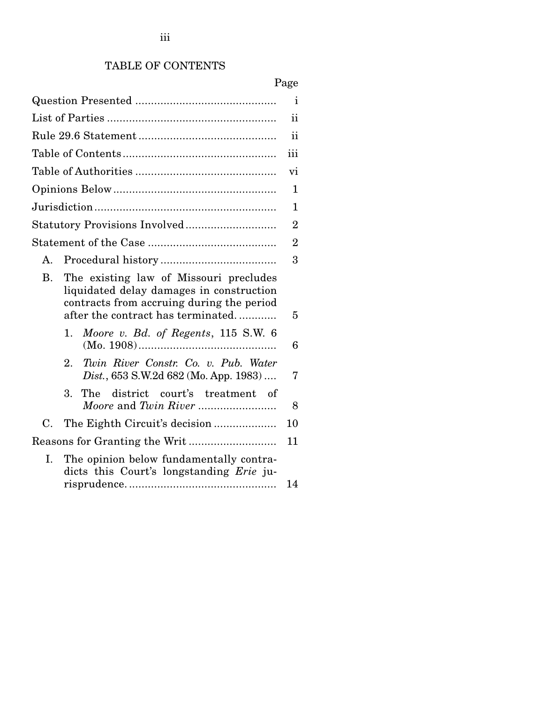## TABLE OF CONTENTS

|             |                                                                                                                                                                      | $\mathbf{1}$   |
|-------------|----------------------------------------------------------------------------------------------------------------------------------------------------------------------|----------------|
|             |                                                                                                                                                                      |                |
|             |                                                                                                                                                                      |                |
|             |                                                                                                                                                                      |                |
|             |                                                                                                                                                                      |                |
|             |                                                                                                                                                                      |                |
|             |                                                                                                                                                                      |                |
|             |                                                                                                                                                                      | $\overline{2}$ |
|             |                                                                                                                                                                      | $\overline{2}$ |
| А.          |                                                                                                                                                                      | 3              |
| <b>B.</b>   | The existing law of Missouri precludes<br>liquidated delay damages in construction<br>contracts from accruing during the period<br>after the contract has terminated | 5              |
|             | Moore v. Bd. of Regents, 115 S.W. 6<br>1.                                                                                                                            | 6              |
|             | Twin River Constr. Co. v. Pub. Water<br>2.<br>Dist., 653 S.W.2d 682 (Mo. App. 1983)                                                                                  | 7              |
|             | 3.<br>The district court's treatment of<br>Moore and Twin River                                                                                                      | 8              |
| $C_{\cdot}$ |                                                                                                                                                                      | 10             |
|             |                                                                                                                                                                      | 11             |
| L.          | The opinion below fundamentally contra-<br>dicts this Court's longstanding Erie ju-                                                                                  | 14             |
|             |                                                                                                                                                                      |                |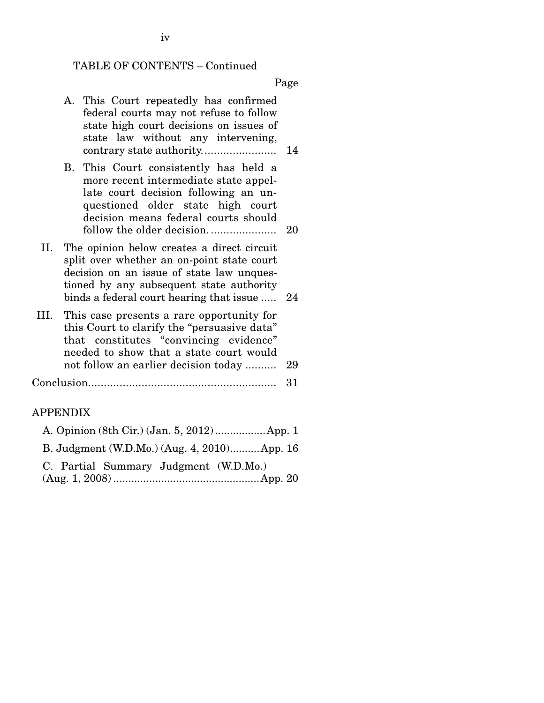### TABLE OF CONTENTS – Continued

Page

- A. This Court repeatedly has confirmed federal courts may not refuse to follow state high court decisions on issues of state law without any intervening, contrary state authority. ....................... 14
- B. This Court consistently has held a more recent intermediate state appellate court decision following an unquestioned older state high court decision means federal courts should follow the older decision. ..................... 20
- II. The opinion below creates a direct circuit split over whether an on-point state court decision on an issue of state law unquestioned by any subsequent state authority binds a federal court hearing that issue ..... 24
- III. This case presents a rare opportunity for this Court to clarify the "persuasive data" that constitutes "convincing evidence" needed to show that a state court would not follow an earlier decision today .......... 29

Conclusion............................................................ 31

#### APPENDIX

| B. Judgment (W.D.Mo.) (Aug. 4, 2010) App. 16 |  |
|----------------------------------------------|--|
| C. Partial Summary Judgment (W.D.Mo.)        |  |
|                                              |  |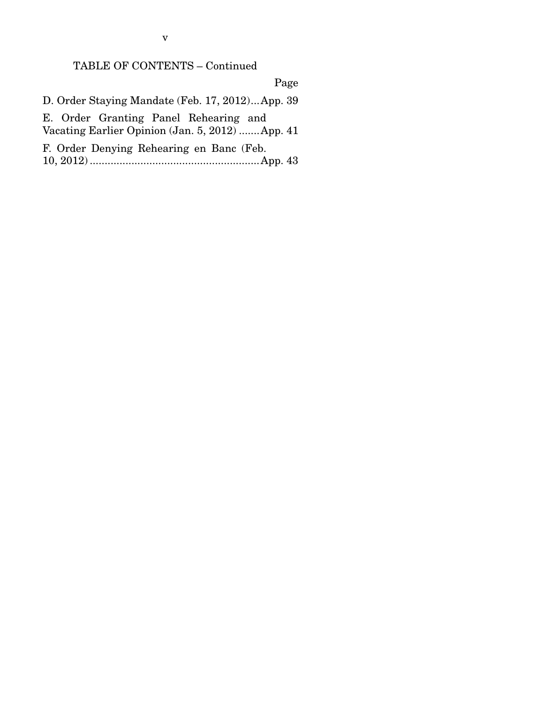## TABLE OF CONTENTS – Continued

Page

 D. Order Staying Mandate (Feb. 17, 2012) ... App. 39 E. Order Granting Panel Rehearing and Vacating Earlier Opinion (Jan. 5, 2012) ....... App. 41 F. Order Denying Rehearing en Banc (Feb.

10, 2012) ......................................................... App. 43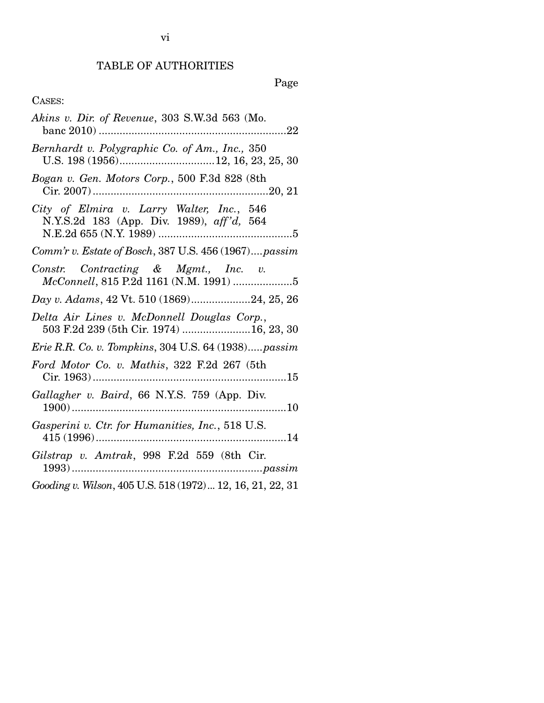# Page

## CASES:

| Akins v. Dir. of Revenue, 303 S.W.3d 563 (Mo.                                          |
|----------------------------------------------------------------------------------------|
| Bernhardt v. Polygraphic Co. of Am., Inc., 350                                         |
| Bogan v. Gen. Motors Corp., 500 F.3d 828 (8th                                          |
| City of Elmira v. Larry Walter, Inc., 546<br>N.Y.S.2d 183 (App. Div. 1989), aff'd, 564 |
| Comm'r v. Estate of Bosch, 387 U.S. 456 (1967)passim                                   |
| Constr. Contracting & Mgmt., Inc. v.<br>McConnell, 815 P.2d 1161 (N.M. 1991) 5         |
| Day v. Adams, 42 Vt. 510 (1869)24, 25, 26                                              |
| Delta Air Lines v. McDonnell Douglas Corp.,<br>503 F.2d 239 (5th Cir. 1974) 16, 23, 30 |
| Erie R.R. Co. v. Tompkins, 304 U.S. 64 (1938)passim                                    |
| Ford Motor Co. v. Mathis, 322 F.2d 267 (5th                                            |
| Gallagher v. Baird, 66 N.Y.S. 759 (App. Div.                                           |
| Gasperini v. Ctr. for Humanities, Inc., 518 U.S.                                       |
| Gilstrap v. Amtrak, 998 F.2d 559 (8th Cir.                                             |
| Gooding v. Wilson, 405 U.S. 518 (1972)  12, 16, 21, 22, 31                             |

vi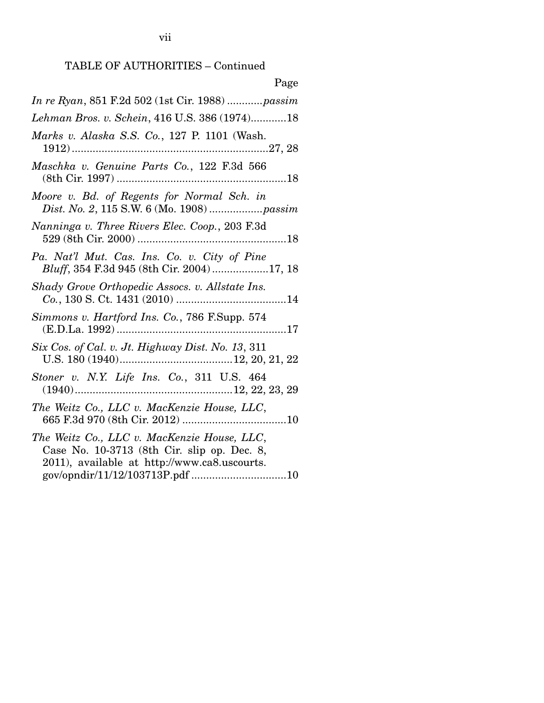| Page                                                                                                                                                                          |
|-------------------------------------------------------------------------------------------------------------------------------------------------------------------------------|
| In re Ryan, 851 F.2d 502 (1st Cir. 1988) passim                                                                                                                               |
| Lehman Bros. v. Schein, 416 U.S. 386 (1974)18                                                                                                                                 |
| Marks v. Alaska S.S. Co., 127 P. 1101 (Wash.                                                                                                                                  |
| Maschka v. Genuine Parts Co., 122 F.3d 566                                                                                                                                    |
| Moore v. Bd. of Regents for Normal Sch. in                                                                                                                                    |
| Nanninga v. Three Rivers Elec. Coop., 203 F.3d                                                                                                                                |
| Pa. Nat'l Mut. Cas. Ins. Co. v. City of Pine<br>Bluff, 354 F.3d 945 (8th Cir. 2004)17, 18                                                                                     |
| Shady Grove Orthopedic Assocs. v. Allstate Ins.                                                                                                                               |
| Simmons v. Hartford Ins. Co., 786 F.Supp. 574                                                                                                                                 |
| Six Cos. of Cal. v. Jt. Highway Dist. No. 13, 311                                                                                                                             |
| Stoner v. N.Y. Life Ins. Co., 311 U.S. 464                                                                                                                                    |
| The Weitz Co., LLC v. MacKenzie House, LLC,                                                                                                                                   |
| The Weitz Co., LLC v. MacKenzie House, LLC,<br>Case No. 10-3713 (8th Cir. slip op. Dec. 8,<br>2011), available at http://www.ca8.uscourts.<br>gov/opndir/11/12/103713P.pdf 10 |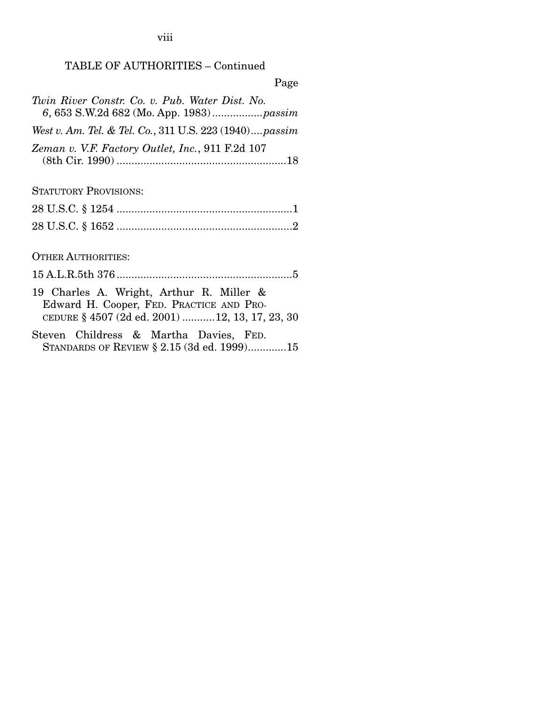viii

## TABLE OF AUTHORITIES – Continued

Page

| Twin River Constr. Co. v. Pub. Water Dist. No.          |
|---------------------------------------------------------|
| West v. Am. Tel. & Tel. Co., 311 U.S. 223 (1940) passim |
| Zeman v. V.F. Factory Outlet, Inc., 911 F.2d 107        |

STATUTORY PROVISIONS:

OTHER AUTHORITIES:

15 A.L.R.5th 376 ........................................................... 5

- 19 Charles A. Wright, Arthur R. Miller & Edward H. Cooper, FED. PRACTICE AND PRO-CEDURE § 4507 (2d ed. 2001) ........... 12, 13, 17, 23, 30
- Steven Childress & Martha Davies, FED. STANDARDS OF REVIEW § 2.15 (3d ed. 1999).............15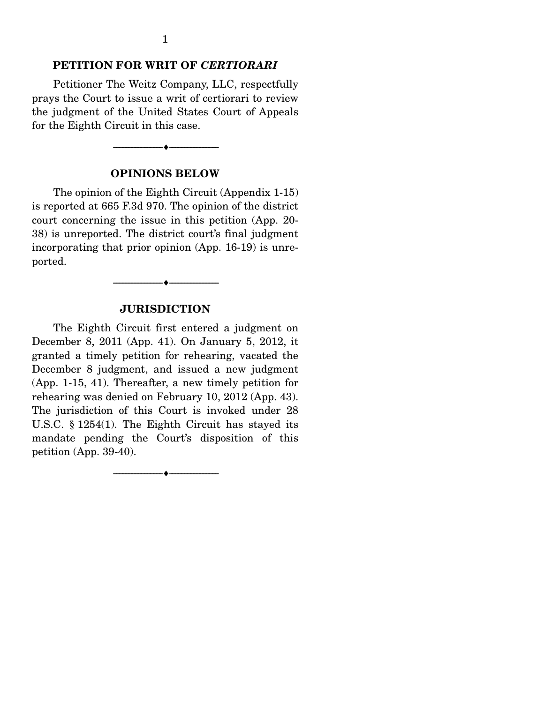#### **PETITION FOR WRIT OF** *CERTIORARI*

 Petitioner The Weitz Company, LLC, respectfully prays the Court to issue a writ of certiorari to review the judgment of the United States Court of Appeals for the Eighth Circuit in this case.

#### **OPINIONS BELOW**

--------------------------------- ---------------------------------

 The opinion of the Eighth Circuit (Appendix 1-15) is reported at 665 F.3d 970. The opinion of the district court concerning the issue in this petition (App. 20- 38) is unreported. The district court's final judgment incorporating that prior opinion (App. 16-19) is unreported.

#### **JURISDICTION**

--------------------------------- ---------------------------------

 The Eighth Circuit first entered a judgment on December 8, 2011 (App. 41). On January 5, 2012, it granted a timely petition for rehearing, vacated the December 8 judgment, and issued a new judgment (App. 1-15, 41). Thereafter, a new timely petition for rehearing was denied on February 10, 2012 (App. 43). The jurisdiction of this Court is invoked under 28 U.S.C. § 1254(1). The Eighth Circuit has stayed its mandate pending the Court's disposition of this petition (App. 39-40).

--------------------------------- ---------------------------------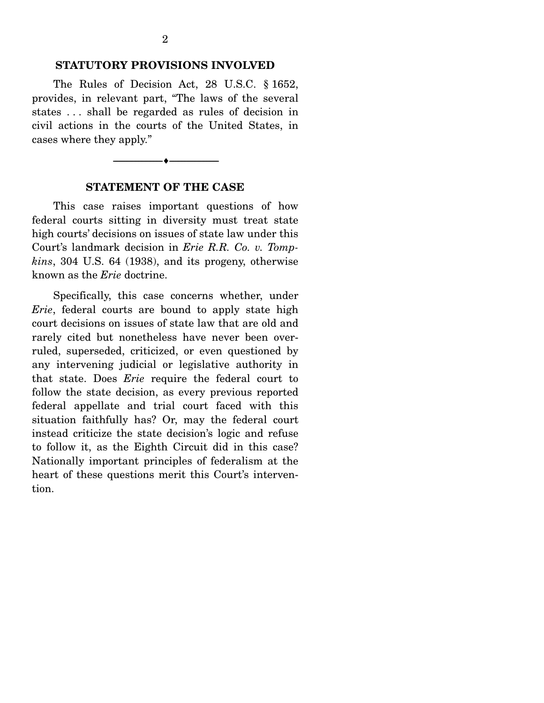#### **STATUTORY PROVISIONS INVOLVED**

 The Rules of Decision Act, 28 U.S.C. § 1652, provides, in relevant part, "The laws of the several states . . . shall be regarded as rules of decision in civil actions in the courts of the United States, in cases where they apply."



--------------------------------- ---------------------------------

 This case raises important questions of how federal courts sitting in diversity must treat state high courts' decisions on issues of state law under this Court's landmark decision in *Erie R.R. Co. v. Tompkins*, 304 U.S. 64 (1938), and its progeny, otherwise known as the *Erie* doctrine.

 Specifically, this case concerns whether, under *Erie*, federal courts are bound to apply state high court decisions on issues of state law that are old and rarely cited but nonetheless have never been overruled, superseded, criticized, or even questioned by any intervening judicial or legislative authority in that state. Does *Erie* require the federal court to follow the state decision, as every previous reported federal appellate and trial court faced with this situation faithfully has? Or, may the federal court instead criticize the state decision's logic and refuse to follow it, as the Eighth Circuit did in this case? Nationally important principles of federalism at the heart of these questions merit this Court's intervention.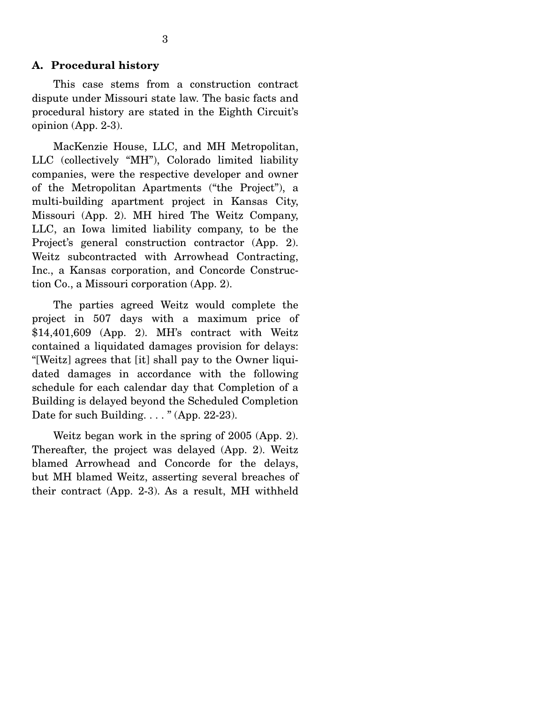#### **A. Procedural history**

 This case stems from a construction contract dispute under Missouri state law. The basic facts and procedural history are stated in the Eighth Circuit's opinion (App. 2-3).

 MacKenzie House, LLC, and MH Metropolitan, LLC (collectively "MH"), Colorado limited liability companies, were the respective developer and owner of the Metropolitan Apartments ("the Project"), a multi-building apartment project in Kansas City, Missouri (App. 2). MH hired The Weitz Company, LLC, an Iowa limited liability company, to be the Project's general construction contractor (App. 2). Weitz subcontracted with Arrowhead Contracting, Inc., a Kansas corporation, and Concorde Construction Co., a Missouri corporation (App. 2).

 The parties agreed Weitz would complete the project in 507 days with a maximum price of \$14,401,609 (App. 2). MH's contract with Weitz contained a liquidated damages provision for delays: "[Weitz] agrees that [it] shall pay to the Owner liquidated damages in accordance with the following schedule for each calendar day that Completion of a Building is delayed beyond the Scheduled Completion Date for such Building.  $\ldots$  " (App. 22-23).

 Weitz began work in the spring of 2005 (App. 2). Thereafter, the project was delayed (App. 2). Weitz blamed Arrowhead and Concorde for the delays, but MH blamed Weitz, asserting several breaches of their contract (App. 2-3). As a result, MH withheld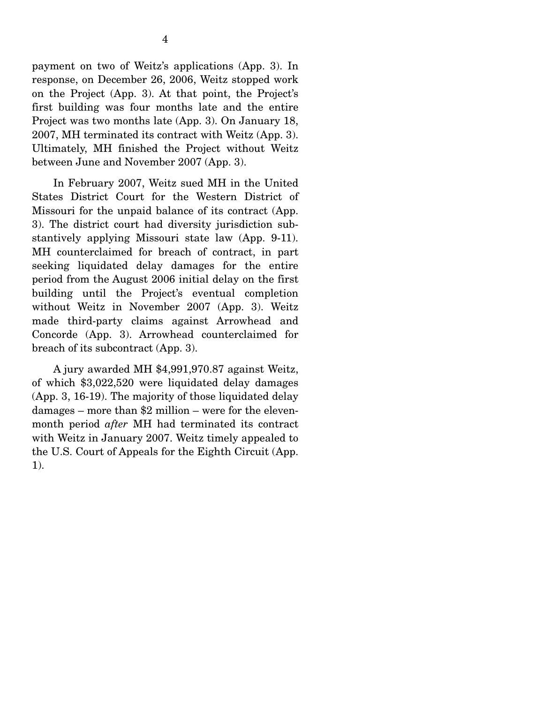payment on two of Weitz's applications (App. 3). In response, on December 26, 2006, Weitz stopped work on the Project (App. 3). At that point, the Project's first building was four months late and the entire Project was two months late (App. 3). On January 18, 2007, MH terminated its contract with Weitz (App. 3). Ultimately, MH finished the Project without Weitz between June and November 2007 (App. 3).

 In February 2007, Weitz sued MH in the United States District Court for the Western District of Missouri for the unpaid balance of its contract (App. 3). The district court had diversity jurisdiction substantively applying Missouri state law (App. 9-11). MH counterclaimed for breach of contract, in part seeking liquidated delay damages for the entire period from the August 2006 initial delay on the first building until the Project's eventual completion without Weitz in November 2007 (App. 3). Weitz made third-party claims against Arrowhead and Concorde (App. 3). Arrowhead counterclaimed for breach of its subcontract (App. 3).

 A jury awarded MH \$4,991,970.87 against Weitz, of which \$3,022,520 were liquidated delay damages (App. 3, 16-19). The majority of those liquidated delay damages – more than \$2 million – were for the elevenmonth period *after* MH had terminated its contract with Weitz in January 2007. Weitz timely appealed to the U.S. Court of Appeals for the Eighth Circuit (App. 1).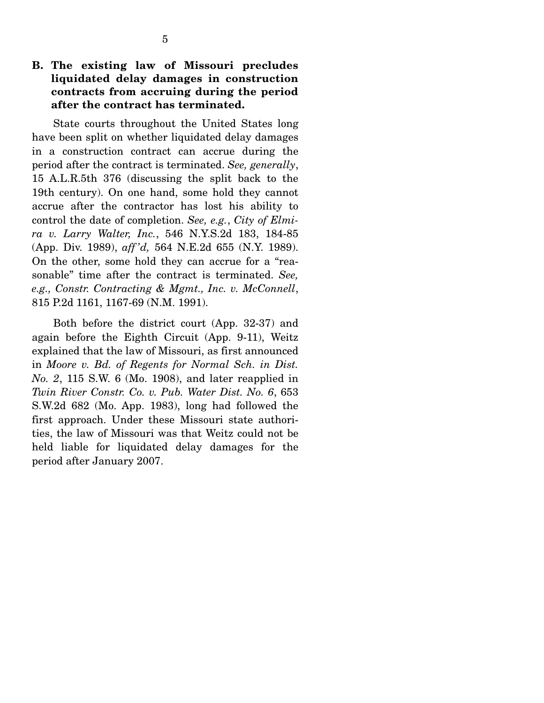## **B. The existing law of Missouri precludes liquidated delay damages in construction contracts from accruing during the period after the contract has terminated.**

 State courts throughout the United States long have been split on whether liquidated delay damages in a construction contract can accrue during the period after the contract is terminated. *See, generally*, 15 A.L.R.5th 376 (discussing the split back to the 19th century). On one hand, some hold they cannot accrue after the contractor has lost his ability to control the date of completion. *See, e.g.*, *City of Elmira v. Larry Walter, Inc.*, 546 N.Y.S.2d 183, 184-85 (App. Div. 1989), *aff 'd,* 564 N.E.2d 655 (N.Y. 1989). On the other, some hold they can accrue for a "reasonable" time after the contract is terminated. *See, e.g., Constr. Contracting & Mgmt., Inc. v. McConnell*, 815 P.2d 1161, 1167-69 (N.M. 1991).

 Both before the district court (App. 32-37) and again before the Eighth Circuit (App. 9-11), Weitz explained that the law of Missouri, as first announced in *Moore v. Bd. of Regents for Normal Sch. in Dist. No. 2*, 115 S.W. 6 (Mo. 1908), and later reapplied in *Twin River Constr. Co. v. Pub. Water Dist. No. 6*, 653 S.W.2d 682 (Mo. App. 1983), long had followed the first approach. Under these Missouri state authorities, the law of Missouri was that Weitz could not be held liable for liquidated delay damages for the period after January 2007.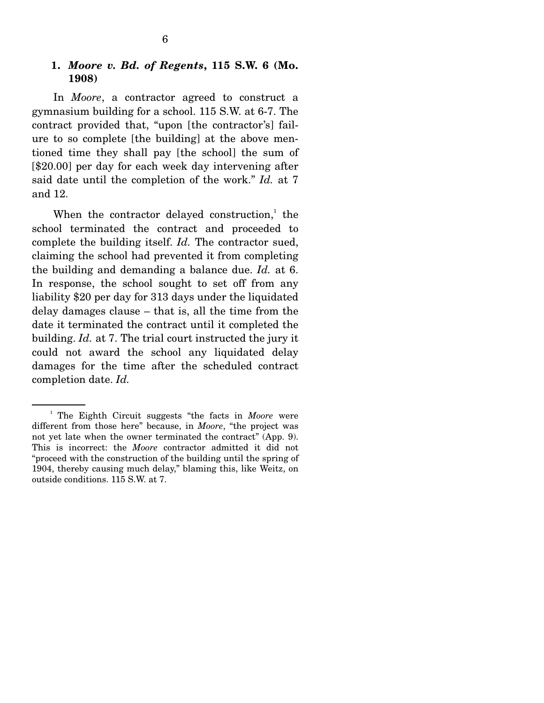#### **1.** *Moore v. Bd. of Regents***, 115 S.W. 6 (Mo. 1908)**

In *Moore*, a contractor agreed to construct a gymnasium building for a school. 115 S.W. at 6-7. The contract provided that, "upon [the contractor's] failure to so complete [the building] at the above mentioned time they shall pay [the school] the sum of [\$20.00] per day for each week day intervening after said date until the completion of the work." *Id.* at 7 and 12.

When the contractor delayed construction, $\frac{1}{1}$  the school terminated the contract and proceeded to complete the building itself. *Id.* The contractor sued, claiming the school had prevented it from completing the building and demanding a balance due. *Id.* at 6. In response, the school sought to set off from any liability \$20 per day for 313 days under the liquidated delay damages clause – that is, all the time from the date it terminated the contract until it completed the building. *Id.* at 7. The trial court instructed the jury it could not award the school any liquidated delay damages for the time after the scheduled contract completion date. *Id.*

<sup>&</sup>lt;sup>1</sup> The Eighth Circuit suggests "the facts in *Moore* were different from those here" because, in *Moore*, "the project was not yet late when the owner terminated the contract" (App. 9). This is incorrect: the *Moore* contractor admitted it did not "proceed with the construction of the building until the spring of 1904, thereby causing much delay," blaming this, like Weitz, on outside conditions. 115 S.W. at 7.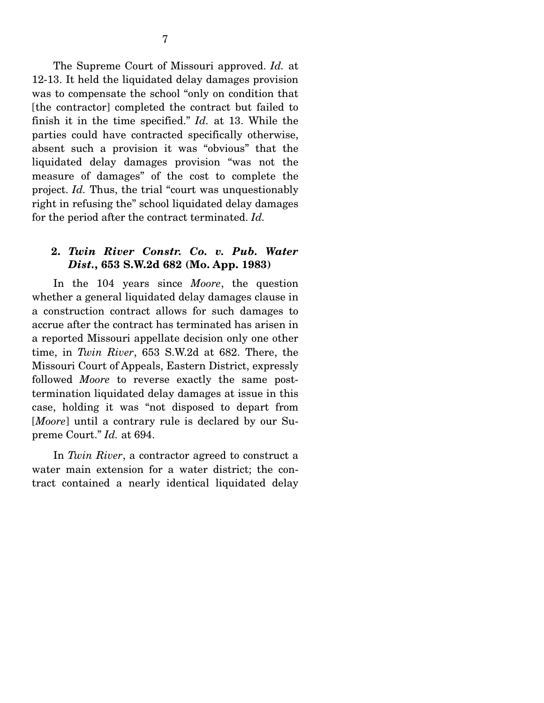The Supreme Court of Missouri approved. *Id.* at 12-13. It held the liquidated delay damages provision was to compensate the school "only on condition that [the contractor] completed the contract but failed to finish it in the time specified." *Id.* at 13. While the parties could have contracted specifically otherwise, absent such a provision it was "obvious" that the liquidated delay damages provision "was not the measure of damages" of the cost to complete the project. *Id.* Thus, the trial "court was unquestionably right in refusing the" school liquidated delay damages for the period after the contract terminated. *Id.*

### **2.** *Twin River Constr. Co. v. Pub. Water Dist.***, 653 S.W.2d 682 (Mo. App. 1983)**

 In the 104 years since *Moore*, the question whether a general liquidated delay damages clause in a construction contract allows for such damages to accrue after the contract has terminated has arisen in a reported Missouri appellate decision only one other time, in *Twin River*, 653 S.W.2d at 682. There, the Missouri Court of Appeals, Eastern District, expressly followed *Moore* to reverse exactly the same posttermination liquidated delay damages at issue in this case, holding it was "not disposed to depart from [*Moore*] until a contrary rule is declared by our Supreme Court." *Id.* at 694.

 In *Twin River*, a contractor agreed to construct a water main extension for a water district; the contract contained a nearly identical liquidated delay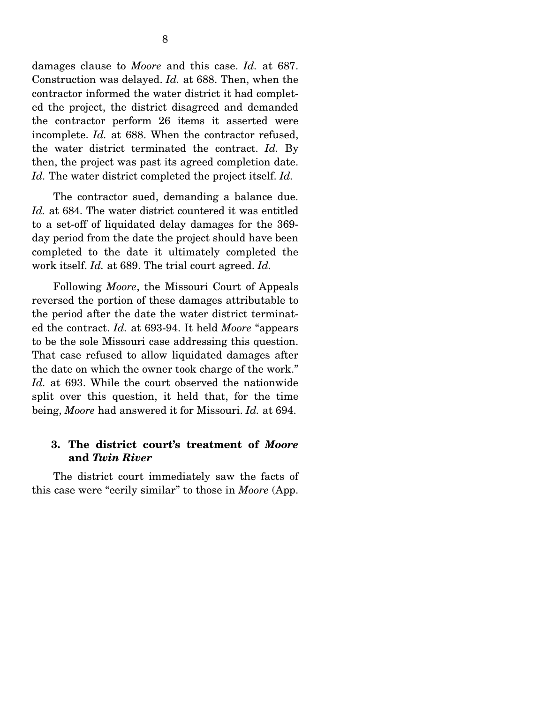damages clause to *Moore* and this case. *Id.* at 687. Construction was delayed. *Id.* at 688. Then, when the contractor informed the water district it had completed the project, the district disagreed and demanded the contractor perform 26 items it asserted were incomplete. *Id.* at 688. When the contractor refused, the water district terminated the contract. *Id.* By then, the project was past its agreed completion date. *Id.* The water district completed the project itself. *Id.* 

 The contractor sued, demanding a balance due. *Id.* at 684. The water district countered it was entitled to a set-off of liquidated delay damages for the 369 day period from the date the project should have been completed to the date it ultimately completed the work itself. *Id.* at 689. The trial court agreed. *Id.*

 Following *Moore*, the Missouri Court of Appeals reversed the portion of these damages attributable to the period after the date the water district terminated the contract. *Id.* at 693-94. It held *Moore* "appears to be the sole Missouri case addressing this question. That case refused to allow liquidated damages after the date on which the owner took charge of the work." *Id.* at 693. While the court observed the nationwide split over this question, it held that, for the time being, *Moore* had answered it for Missouri. *Id.* at 694.

### **3. The district court's treatment of** *Moore* **and** *Twin River*

 The district court immediately saw the facts of this case were "eerily similar" to those in *Moore* (App.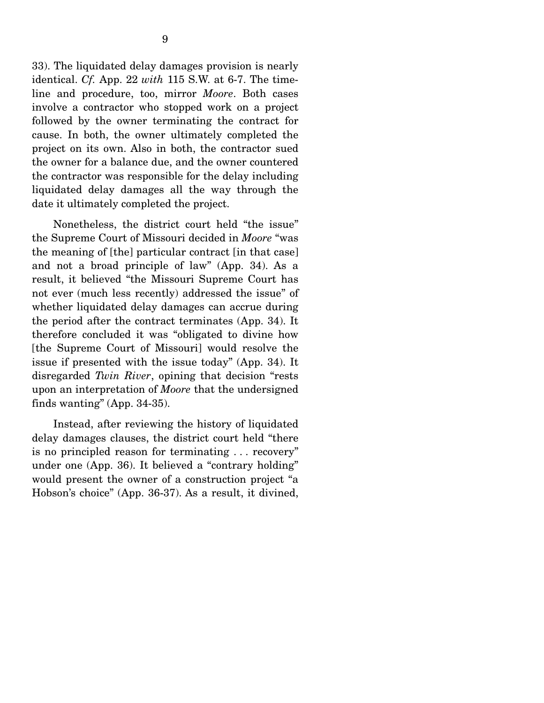33). The liquidated delay damages provision is nearly identical. *Cf.* App. 22 *with* 115 S.W. at 6-7. The timeline and procedure, too, mirror *Moore*. Both cases involve a contractor who stopped work on a project followed by the owner terminating the contract for cause. In both, the owner ultimately completed the project on its own. Also in both, the contractor sued the owner for a balance due, and the owner countered the contractor was responsible for the delay including liquidated delay damages all the way through the date it ultimately completed the project.

 Nonetheless, the district court held "the issue" the Supreme Court of Missouri decided in *Moore* "was the meaning of [the] particular contract [in that case] and not a broad principle of law" (App. 34). As a result, it believed "the Missouri Supreme Court has not ever (much less recently) addressed the issue" of whether liquidated delay damages can accrue during the period after the contract terminates (App. 34). It therefore concluded it was "obligated to divine how [the Supreme Court of Missouri] would resolve the issue if presented with the issue today" (App. 34). It disregarded *Twin River*, opining that decision "rests upon an interpretation of *Moore* that the undersigned finds wanting" (App. 34-35).

 Instead, after reviewing the history of liquidated delay damages clauses, the district court held "there is no principled reason for terminating . . . recovery" under one (App. 36). It believed a "contrary holding" would present the owner of a construction project "a Hobson's choice" (App. 36-37). As a result, it divined,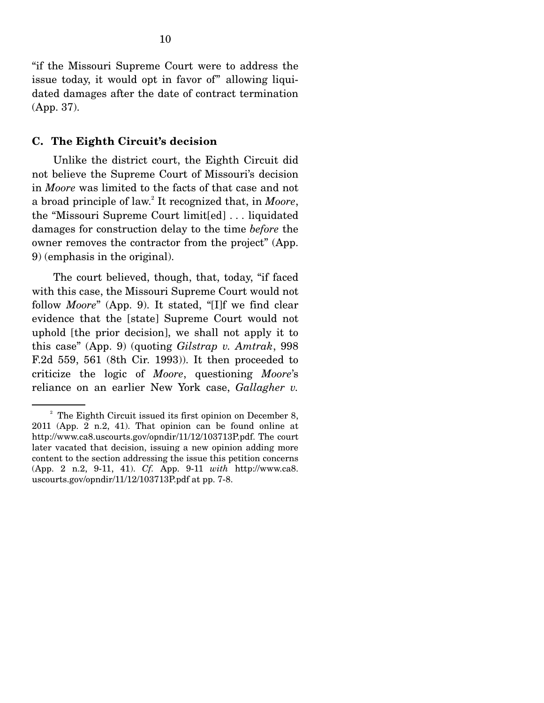"if the Missouri Supreme Court were to address the issue today, it would opt in favor of" allowing liquidated damages after the date of contract termination (App. 37).

#### **C. The Eighth Circuit's decision**

 Unlike the district court, the Eighth Circuit did not believe the Supreme Court of Missouri's decision in *Moore* was limited to the facts of that case and not a broad principle of law.2 It recognized that, in *Moore*, the "Missouri Supreme Court limit[ed] . . . liquidated damages for construction delay to the time *before* the owner removes the contractor from the project" (App. 9) (emphasis in the original).

 The court believed, though, that, today, "if faced with this case, the Missouri Supreme Court would not follow *Moore*" (App. 9). It stated, "[I]f we find clear evidence that the [state] Supreme Court would not uphold [the prior decision], we shall not apply it to this case" (App. 9) (quoting *Gilstrap v. Amtrak*, 998 F.2d 559, 561 (8th Cir. 1993)). It then proceeded to criticize the logic of *Moore*, questioning *Moore*'s reliance on an earlier New York case, *Gallagher v.* 

 $2^2$  The Eighth Circuit issued its first opinion on December 8, 2011 (App. 2 n.2, 41). That opinion can be found online at http://www.ca8.uscourts.gov/opndir/11/12/103713P.pdf. The court later vacated that decision, issuing a new opinion adding more content to the section addressing the issue this petition concerns (App. 2 n.2, 9-11, 41). *Cf.* App. 9-11 *with* http://www.ca8. uscourts.gov/opndir/11/12/103713P.pdf at pp. 7-8.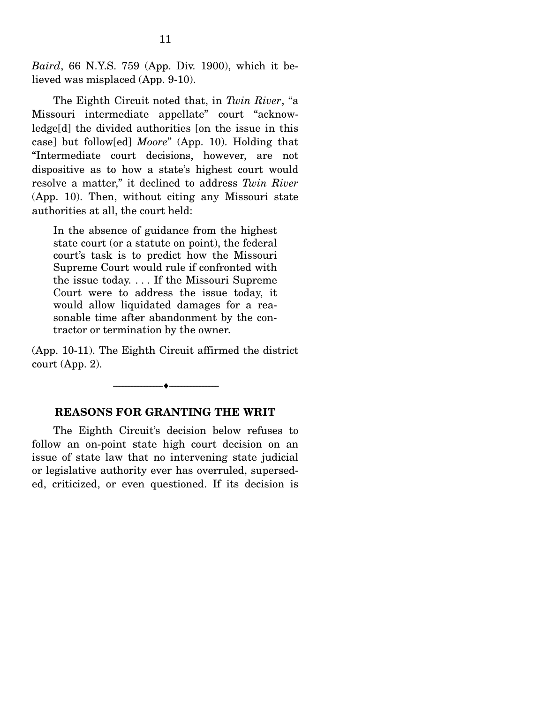*Baird*, 66 N.Y.S. 759 (App. Div. 1900), which it believed was misplaced (App. 9-10).

 The Eighth Circuit noted that, in *Twin River*, "a Missouri intermediate appellate" court "acknowledge[d] the divided authorities [on the issue in this case] but follow[ed] *Moore*" (App. 10). Holding that "Intermediate court decisions, however, are not dispositive as to how a state's highest court would resolve a matter," it declined to address *Twin River* (App. 10). Then, without citing any Missouri state authorities at all, the court held:

In the absence of guidance from the highest state court (or a statute on point), the federal court's task is to predict how the Missouri Supreme Court would rule if confronted with the issue today. . . . If the Missouri Supreme Court were to address the issue today, it would allow liquidated damages for a reasonable time after abandonment by the contractor or termination by the owner.

(App. 10-11). The Eighth Circuit affirmed the district court (App. 2).



#### **REASONS FOR GRANTING THE WRIT**

 The Eighth Circuit's decision below refuses to follow an on-point state high court decision on an issue of state law that no intervening state judicial or legislative authority ever has overruled, superseded, criticized, or even questioned. If its decision is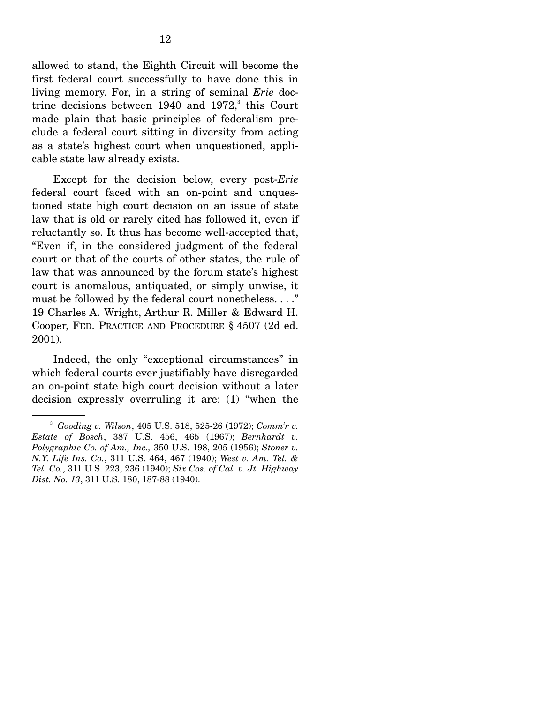allowed to stand, the Eighth Circuit will become the first federal court successfully to have done this in living memory. For, in a string of seminal *Erie* doctrine decisions between  $1940$  and  $1972$ ,<sup>3</sup> this Court made plain that basic principles of federalism preclude a federal court sitting in diversity from acting as a state's highest court when unquestioned, applicable state law already exists.

 Except for the decision below, every post-*Erie* federal court faced with an on-point and unquestioned state high court decision on an issue of state law that is old or rarely cited has followed it, even if reluctantly so. It thus has become well-accepted that, "Even if, in the considered judgment of the federal court or that of the courts of other states, the rule of law that was announced by the forum state's highest court is anomalous, antiquated, or simply unwise, it must be followed by the federal court nonetheless. . . ." 19 Charles A. Wright, Arthur R. Miller & Edward H. Cooper, FED. PRACTICE AND PROCEDURE § 4507 (2d ed. 2001).

 Indeed, the only "exceptional circumstances" in which federal courts ever justifiably have disregarded an on-point state high court decision without a later decision expressly overruling it are: (1) "when the

<sup>3</sup> *Gooding v. Wilson*, 405 U.S. 518, 525-26 (1972); *Comm'r v. Estate of Bosch*, 387 U.S. 456, 465 (1967); *Bernhardt v. Polygraphic Co. of Am., Inc.,* 350 U.S. 198, 205 (1956); *Stoner v. N.Y. Life Ins. Co.*, 311 U.S. 464, 467 (1940); *West v. Am. Tel. & Tel. Co.*, 311 U.S. 223, 236 (1940); *Six Cos. of Cal. v. Jt. Highway Dist. No. 13*, 311 U.S. 180, 187-88 (1940).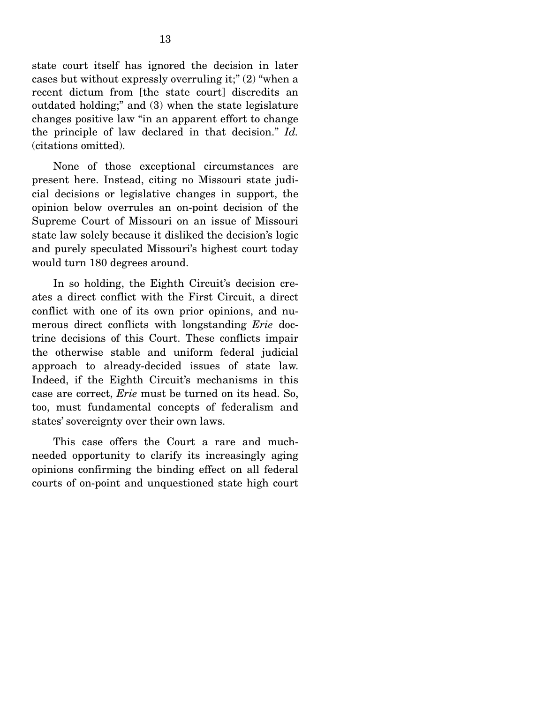state court itself has ignored the decision in later cases but without expressly overruling it;" (2) "when a recent dictum from [the state court] discredits an outdated holding;" and (3) when the state legislature changes positive law "in an apparent effort to change the principle of law declared in that decision." *Id.*  (citations omitted).

 None of those exceptional circumstances are present here. Instead, citing no Missouri state judicial decisions or legislative changes in support, the opinion below overrules an on-point decision of the Supreme Court of Missouri on an issue of Missouri state law solely because it disliked the decision's logic and purely speculated Missouri's highest court today would turn 180 degrees around.

In so holding, the Eighth Circuit's decision creates a direct conflict with the First Circuit, a direct conflict with one of its own prior opinions, and numerous direct conflicts with longstanding *Erie* doctrine decisions of this Court. These conflicts impair the otherwise stable and uniform federal judicial approach to already-decided issues of state law. Indeed, if the Eighth Circuit's mechanisms in this case are correct, *Erie* must be turned on its head. So, too, must fundamental concepts of federalism and states' sovereignty over their own laws.

 This case offers the Court a rare and muchneeded opportunity to clarify its increasingly aging opinions confirming the binding effect on all federal courts of on-point and unquestioned state high court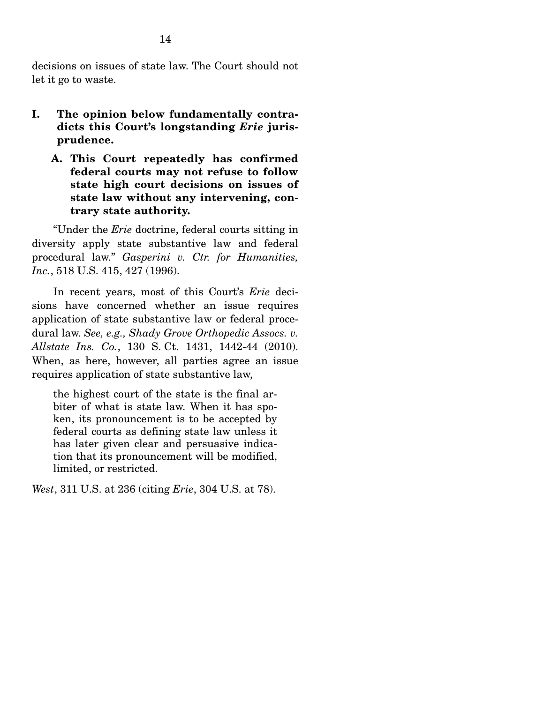decisions on issues of state law. The Court should not let it go to waste.

- **I. The opinion below fundamentally contradicts this Court's longstanding** *Erie* **jurisprudence.** 
	- **A. This Court repeatedly has confirmed federal courts may not refuse to follow state high court decisions on issues of state law without any intervening, contrary state authority.**

 "Under the *Erie* doctrine, federal courts sitting in diversity apply state substantive law and federal procedural law." *Gasperini v. Ctr. for Humanities, Inc.*, 518 U.S. 415, 427 (1996).

 In recent years, most of this Court's *Erie* decisions have concerned whether an issue requires application of state substantive law or federal procedural law. *See, e.g., Shady Grove Orthopedic Assocs. v. Allstate Ins. Co.*, 130 S. Ct. 1431, 1442-44 (2010). When, as here, however, all parties agree an issue requires application of state substantive law,

the highest court of the state is the final arbiter of what is state law. When it has spoken, its pronouncement is to be accepted by federal courts as defining state law unless it has later given clear and persuasive indication that its pronouncement will be modified, limited, or restricted.

*West*, 311 U.S. at 236 (citing *Erie*, 304 U.S. at 78).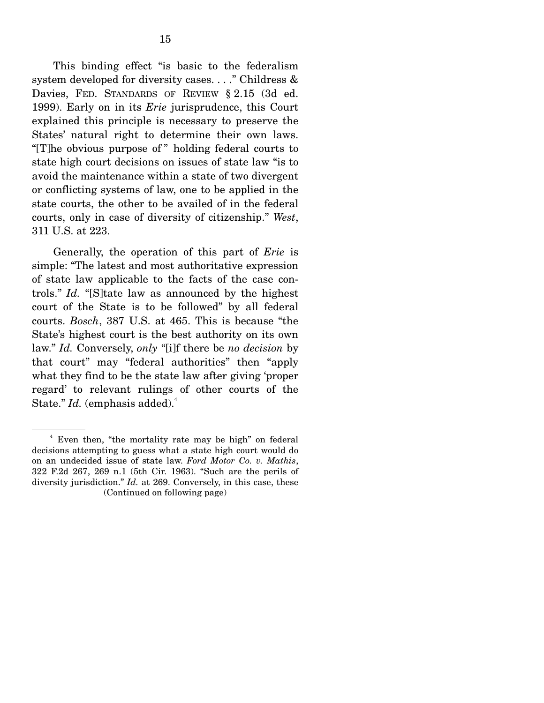This binding effect "is basic to the federalism system developed for diversity cases. . . ." Childress & Davies, FED. STANDARDS OF REVIEW § 2.15 (3d ed. 1999). Early on in its *Erie* jurisprudence, this Court explained this principle is necessary to preserve the States' natural right to determine their own laws. "[T]he obvious purpose of " holding federal courts to state high court decisions on issues of state law "is to avoid the maintenance within a state of two divergent or conflicting systems of law, one to be applied in the state courts, the other to be availed of in the federal courts, only in case of diversity of citizenship." *West*, 311 U.S. at 223.

 Generally, the operation of this part of *Erie* is simple: "The latest and most authoritative expression of state law applicable to the facts of the case controls." *Id.* "[S]tate law as announced by the highest court of the State is to be followed" by all federal courts. *Bosch*, 387 U.S. at 465. This is because "the State's highest court is the best authority on its own law." *Id.* Conversely, *only* "[i]f there be *no decision* by that court" may "federal authorities" then "apply what they find to be the state law after giving 'proper regard' to relevant rulings of other courts of the State." *Id.* (emphasis added).<sup>4</sup>

<sup>4</sup> Even then, "the mortality rate may be high" on federal decisions attempting to guess what a state high court would do on an undecided issue of state law. *Ford Motor Co. v. Mathis*, 322 F.2d 267, 269 n.1 (5th Cir. 1963). "Such are the perils of diversity jurisdiction." *Id.* at 269. Conversely, in this case, these (Continued on following page)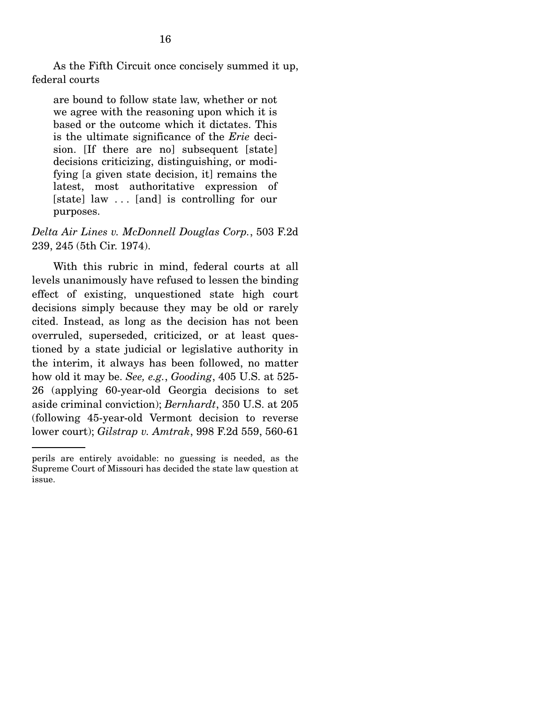As the Fifth Circuit once concisely summed it up, federal courts

are bound to follow state law, whether or not we agree with the reasoning upon which it is based or the outcome which it dictates. This is the ultimate significance of the *Erie* decision. [If there are no] subsequent [state] decisions criticizing, distinguishing, or modifying [a given state decision, it] remains the latest, most authoritative expression of [state] law ... [and] is controlling for our purposes.

*Delta Air Lines v. McDonnell Douglas Corp.*, 503 F.2d 239, 245 (5th Cir. 1974).

 With this rubric in mind, federal courts at all levels unanimously have refused to lessen the binding effect of existing, unquestioned state high court decisions simply because they may be old or rarely cited. Instead, as long as the decision has not been overruled, superseded, criticized, or at least questioned by a state judicial or legislative authority in the interim, it always has been followed, no matter how old it may be. *See, e.g.*, *Gooding*, 405 U.S. at 525- 26 (applying 60-year-old Georgia decisions to set aside criminal conviction); *Bernhardt*, 350 U.S. at 205 (following 45-year-old Vermont decision to reverse lower court); *Gilstrap v. Amtrak*, 998 F.2d 559, 560-61

perils are entirely avoidable: no guessing is needed, as the Supreme Court of Missouri has decided the state law question at issue.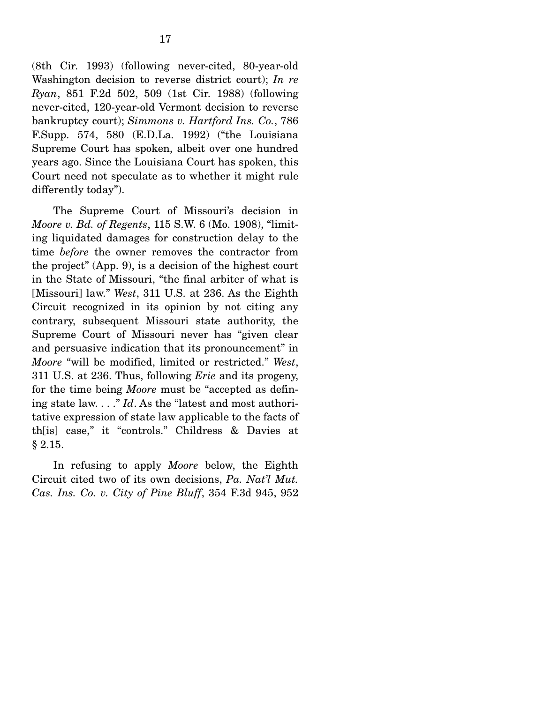(8th Cir. 1993) (following never-cited, 80-year-old Washington decision to reverse district court); *In re Ryan*, 851 F.2d 502, 509 (1st Cir. 1988) (following never-cited, 120-year-old Vermont decision to reverse bankruptcy court); *Simmons v. Hartford Ins. Co.*, 786 F.Supp. 574, 580 (E.D.La. 1992) ("the Louisiana Supreme Court has spoken, albeit over one hundred years ago. Since the Louisiana Court has spoken, this Court need not speculate as to whether it might rule differently today").

 The Supreme Court of Missouri's decision in *Moore v. Bd. of Regents*, 115 S.W. 6 (Mo. 1908), "limiting liquidated damages for construction delay to the time *before* the owner removes the contractor from the project" (App. 9), is a decision of the highest court in the State of Missouri, "the final arbiter of what is [Missouri] law." *West*, 311 U.S. at 236. As the Eighth Circuit recognized in its opinion by not citing any contrary, subsequent Missouri state authority, the Supreme Court of Missouri never has "given clear and persuasive indication that its pronouncement" in *Moore* "will be modified, limited or restricted." *West*, 311 U.S. at 236. Thus, following *Erie* and its progeny, for the time being *Moore* must be "accepted as defining state law. . . ." *Id*. As the "latest and most authoritative expression of state law applicable to the facts of th[is] case," it "controls." Childress & Davies at § 2.15.

 In refusing to apply *Moore* below, the Eighth Circuit cited two of its own decisions, *Pa. Nat'l Mut. Cas. Ins. Co. v. City of Pine Bluff*, 354 F.3d 945, 952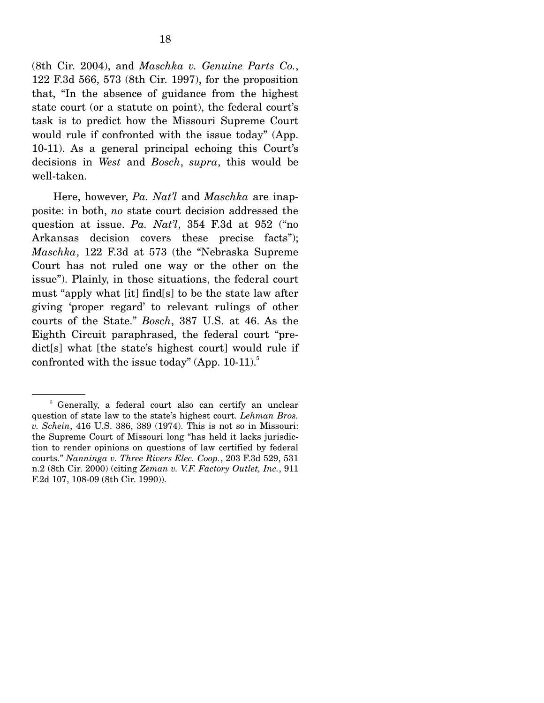(8th Cir. 2004), and *Maschka v. Genuine Parts Co.*, 122 F.3d 566, 573 (8th Cir. 1997), for the proposition that, "In the absence of guidance from the highest state court (or a statute on point), the federal court's task is to predict how the Missouri Supreme Court would rule if confronted with the issue today" (App. 10-11). As a general principal echoing this Court's decisions in *West* and *Bosch*, *supra*, this would be well-taken.

 Here, however, *Pa. Nat'l* and *Maschka* are inapposite: in both, *no* state court decision addressed the question at issue. *Pa. Nat'l*, 354 F.3d at 952 ("no Arkansas decision covers these precise facts"); *Maschka*, 122 F.3d at 573 (the "Nebraska Supreme Court has not ruled one way or the other on the issue"). Plainly, in those situations, the federal court must "apply what [it] find[s] to be the state law after giving 'proper regard' to relevant rulings of other courts of the State." *Bosch*, 387 U.S. at 46. As the Eighth Circuit paraphrased, the federal court "predict[s] what [the state's highest court] would rule if confronted with the issue today" (App.  $10-11$ ).<sup>5</sup>

<sup>&</sup>lt;sup>5</sup> Generally, a federal court also can certify an unclear question of state law to the state's highest court. *Lehman Bros. v. Schein*, 416 U.S. 386, 389 (1974). This is not so in Missouri: the Supreme Court of Missouri long "has held it lacks jurisdiction to render opinions on questions of law certified by federal courts." *Nanninga v. Three Rivers Elec. Coop.*, 203 F.3d 529, 531 n.2 (8th Cir. 2000) (citing *Zeman v. V.F. Factory Outlet, Inc.*, 911 F.2d 107, 108-09 (8th Cir. 1990)).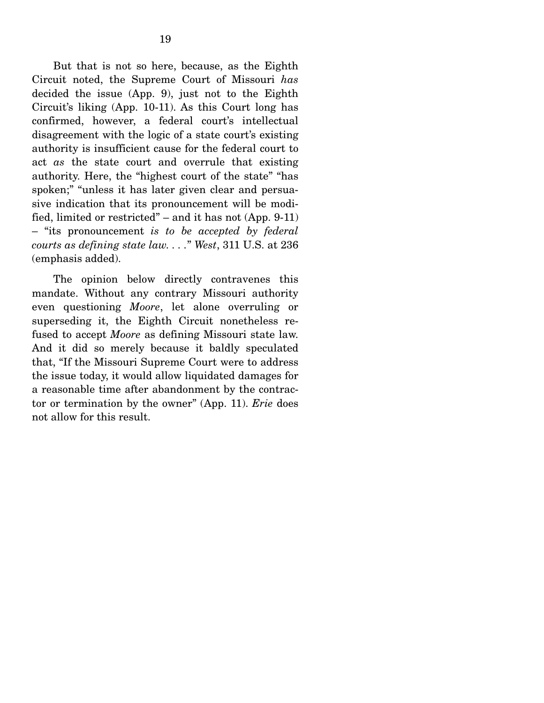But that is not so here, because, as the Eighth Circuit noted, the Supreme Court of Missouri *has*  decided the issue (App. 9), just not to the Eighth Circuit's liking (App. 10-11). As this Court long has confirmed, however, a federal court's intellectual disagreement with the logic of a state court's existing authority is insufficient cause for the federal court to act *as* the state court and overrule that existing authority. Here, the "highest court of the state" "has spoken;" "unless it has later given clear and persuasive indication that its pronouncement will be modified, limited or restricted" – and it has not (App. 9-11) – "its pronouncement *is to be accepted by federal courts as defining state law. . . .*" *West*, 311 U.S. at 236 (emphasis added).

 The opinion below directly contravenes this mandate. Without any contrary Missouri authority even questioning *Moore*, let alone overruling or superseding it, the Eighth Circuit nonetheless refused to accept *Moore* as defining Missouri state law. And it did so merely because it baldly speculated that, "If the Missouri Supreme Court were to address the issue today, it would allow liquidated damages for a reasonable time after abandonment by the contractor or termination by the owner" (App. 11). *Erie* does not allow for this result.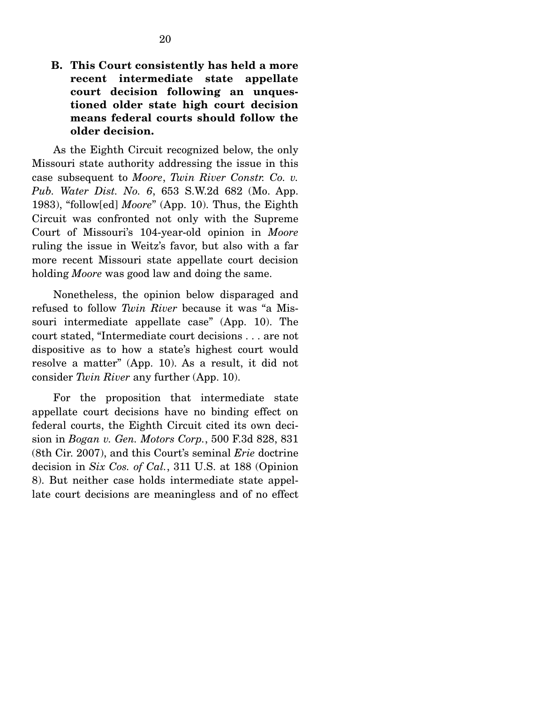**B. This Court consistently has held a more recent intermediate state appellate court decision following an unquestioned older state high court decision means federal courts should follow the older decision.** 

 As the Eighth Circuit recognized below, the only Missouri state authority addressing the issue in this case subsequent to *Moore*, *Twin River Constr. Co. v. Pub. Water Dist. No. 6*, 653 S.W.2d 682 (Mo. App. 1983), "follow[ed] *Moore*" (App. 10). Thus, the Eighth Circuit was confronted not only with the Supreme Court of Missouri's 104-year-old opinion in *Moore* ruling the issue in Weitz's favor, but also with a far more recent Missouri state appellate court decision holding *Moore* was good law and doing the same.

 Nonetheless, the opinion below disparaged and refused to follow *Twin River* because it was "a Missouri intermediate appellate case" (App. 10). The court stated, "Intermediate court decisions . . . are not dispositive as to how a state's highest court would resolve a matter" (App. 10). As a result, it did not consider *Twin River* any further (App. 10).

 For the proposition that intermediate state appellate court decisions have no binding effect on federal courts, the Eighth Circuit cited its own decision in *Bogan v. Gen. Motors Corp.*, 500 F.3d 828, 831 (8th Cir. 2007), and this Court's seminal *Erie* doctrine decision in *Six Cos. of Cal.*, 311 U.S. at 188 (Opinion 8). But neither case holds intermediate state appellate court decisions are meaningless and of no effect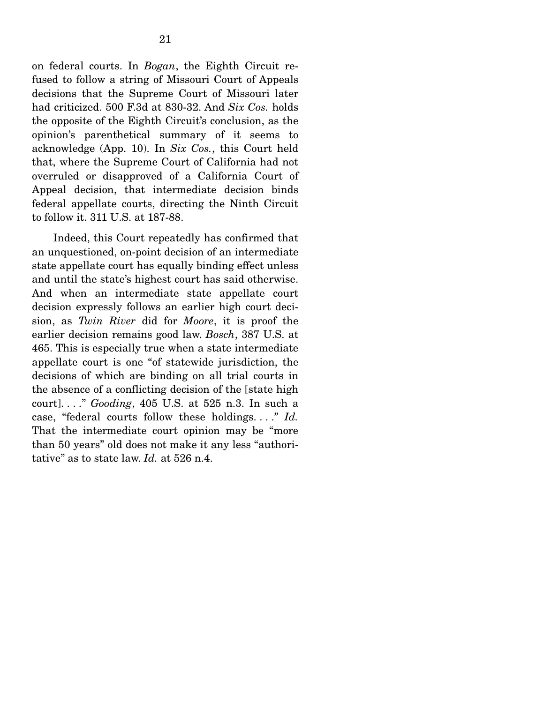on federal courts. In *Bogan*, the Eighth Circuit refused to follow a string of Missouri Court of Appeals decisions that the Supreme Court of Missouri later had criticized. 500 F.3d at 830-32. And *Six Cos.* holds the opposite of the Eighth Circuit's conclusion, as the opinion's parenthetical summary of it seems to acknowledge (App. 10). In *Six Cos.*, this Court held that, where the Supreme Court of California had not overruled or disapproved of a California Court of Appeal decision, that intermediate decision binds federal appellate courts, directing the Ninth Circuit to follow it. 311 U.S. at 187-88.

 Indeed, this Court repeatedly has confirmed that an unquestioned, on-point decision of an intermediate state appellate court has equally binding effect unless and until the state's highest court has said otherwise. And when an intermediate state appellate court decision expressly follows an earlier high court decision, as *Twin River* did for *Moore*, it is proof the earlier decision remains good law. *Bosch*, 387 U.S. at 465. This is especially true when a state intermediate appellate court is one "of statewide jurisdiction, the decisions of which are binding on all trial courts in the absence of a conflicting decision of the [state high court]. . . ." *Gooding*, 405 U.S. at 525 n.3. In such a case, "federal courts follow these holdings. . . ." *Id.* That the intermediate court opinion may be "more than 50 years" old does not make it any less "authoritative" as to state law. *Id.* at 526 n.4.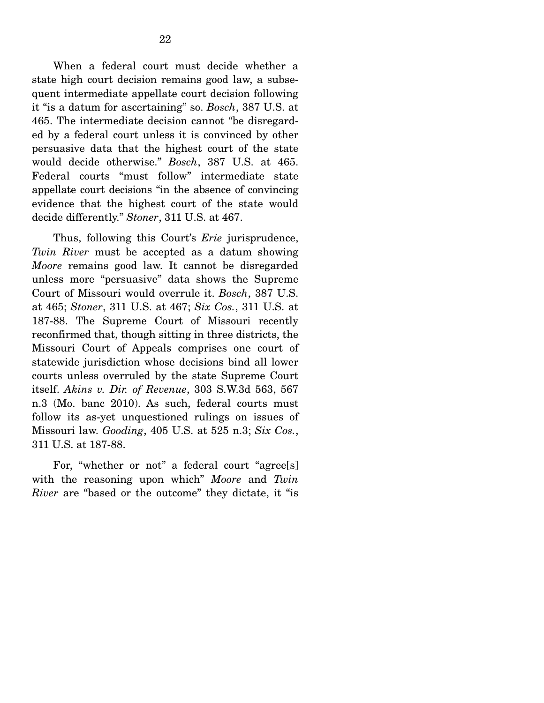When a federal court must decide whether a state high court decision remains good law, a subsequent intermediate appellate court decision following it "is a datum for ascertaining" so. *Bosch*, 387 U.S. at 465. The intermediate decision cannot "be disregarded by a federal court unless it is convinced by other persuasive data that the highest court of the state would decide otherwise." *Bosch*, 387 U.S. at 465. Federal courts "must follow" intermediate state appellate court decisions "in the absence of convincing evidence that the highest court of the state would decide differently." *Stoner*, 311 U.S. at 467.

 Thus, following this Court's *Erie* jurisprudence, *Twin River* must be accepted as a datum showing *Moore* remains good law. It cannot be disregarded unless more "persuasive" data shows the Supreme Court of Missouri would overrule it. *Bosch*, 387 U.S. at 465; *Stoner*, 311 U.S. at 467; *Six Cos.*, 311 U.S. at 187-88. The Supreme Court of Missouri recently reconfirmed that, though sitting in three districts, the Missouri Court of Appeals comprises one court of statewide jurisdiction whose decisions bind all lower courts unless overruled by the state Supreme Court itself. *Akins v. Dir. of Revenue*, 303 S.W.3d 563, 567 n.3 (Mo. banc 2010). As such, federal courts must follow its as-yet unquestioned rulings on issues of Missouri law. *Gooding*, 405 U.S. at 525 n.3; *Six Cos.*, 311 U.S. at 187-88.

 For, "whether or not" a federal court "agree[s] with the reasoning upon which" *Moore* and *Twin River* are "based or the outcome" they dictate, it "is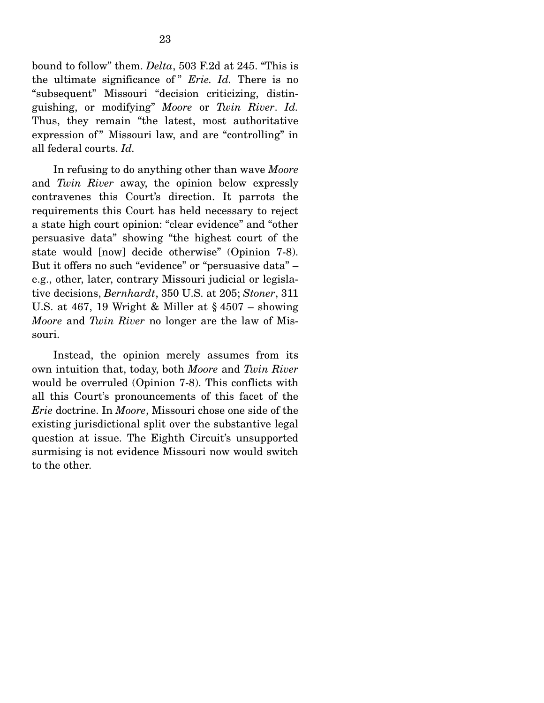bound to follow" them. *Delta*, 503 F.2d at 245. "This is the ultimate significance of " *Erie. Id.* There is no "subsequent" Missouri "decision criticizing, distinguishing, or modifying" *Moore* or *Twin River*. *Id.* Thus, they remain "the latest, most authoritative expression of" Missouri law, and are "controlling" in all federal courts. *Id.*

 In refusing to do anything other than wave *Moore* and *Twin River* away, the opinion below expressly contravenes this Court's direction. It parrots the requirements this Court has held necessary to reject a state high court opinion: "clear evidence" and "other persuasive data" showing "the highest court of the state would [now] decide otherwise" (Opinion 7-8). But it offers no such "evidence" or "persuasive data" – e.g., other, later, contrary Missouri judicial or legislative decisions, *Bernhardt*, 350 U.S. at 205; *Stoner*, 311 U.S. at 467, 19 Wright & Miller at  $\S$  4507 – showing *Moore* and *Twin River* no longer are the law of Missouri.

 Instead, the opinion merely assumes from its own intuition that, today, both *Moore* and *Twin River*  would be overruled (Opinion 7-8). This conflicts with all this Court's pronouncements of this facet of the *Erie* doctrine. In *Moore*, Missouri chose one side of the existing jurisdictional split over the substantive legal question at issue. The Eighth Circuit's unsupported surmising is not evidence Missouri now would switch to the other.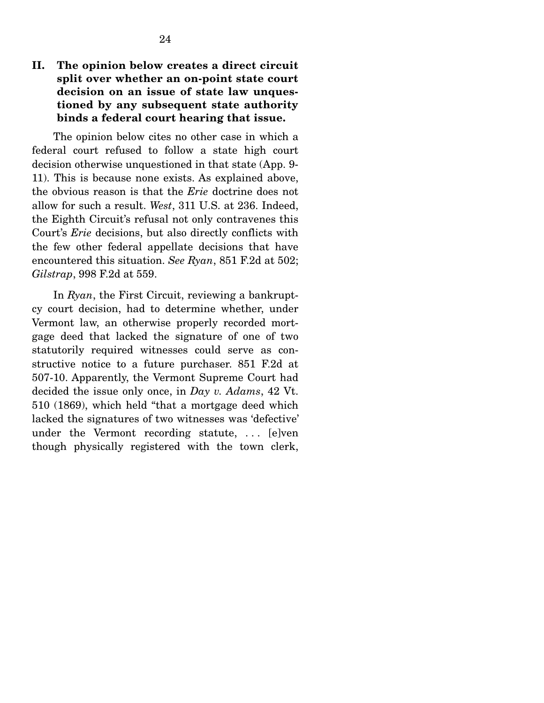## **II. The opinion below creates a direct circuit split over whether an on-point state court decision on an issue of state law unquestioned by any subsequent state authority binds a federal court hearing that issue.**

 The opinion below cites no other case in which a federal court refused to follow a state high court decision otherwise unquestioned in that state (App. 9- 11). This is because none exists. As explained above, the obvious reason is that the *Erie* doctrine does not allow for such a result. *West*, 311 U.S. at 236. Indeed, the Eighth Circuit's refusal not only contravenes this Court's *Erie* decisions, but also directly conflicts with the few other federal appellate decisions that have encountered this situation. *See Ryan*, 851 F.2d at 502; *Gilstrap*, 998 F.2d at 559.

In *Ryan*, the First Circuit, reviewing a bankruptcy court decision, had to determine whether, under Vermont law, an otherwise properly recorded mortgage deed that lacked the signature of one of two statutorily required witnesses could serve as constructive notice to a future purchaser. 851 F.2d at 507-10. Apparently, the Vermont Supreme Court had decided the issue only once, in *Day v. Adams*, 42 Vt. 510 (1869), which held "that a mortgage deed which lacked the signatures of two witnesses was 'defective' under the Vermont recording statute, . . . [e]ven though physically registered with the town clerk,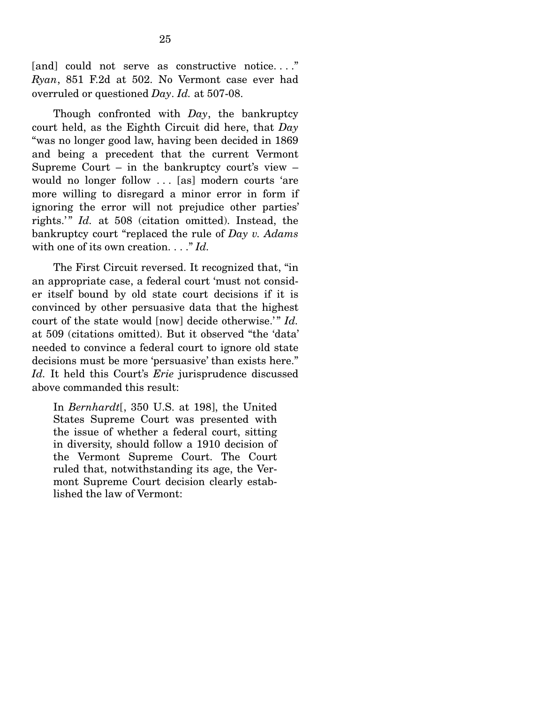[and] could not serve as constructive notice...." *Ryan*, 851 F.2d at 502. No Vermont case ever had overruled or questioned *Day*. *Id.* at 507-08.

 Though confronted with *Day*, the bankruptcy court held, as the Eighth Circuit did here, that *Day* "was no longer good law, having been decided in 1869 and being a precedent that the current Vermont Supreme Court – in the bankruptcy court's view – would no longer follow . . . [as] modern courts 'are more willing to disregard a minor error in form if ignoring the error will not prejudice other parties' rights.'" *Id.* at 508 (citation omitted). Instead, the bankruptcy court "replaced the rule of *Day v. Adams* with one of its own creation. . . . "Id.

 The First Circuit reversed. It recognized that, "in an appropriate case, a federal court 'must not consider itself bound by old state court decisions if it is convinced by other persuasive data that the highest court of the state would [now] decide otherwise.'" *Id.* at 509 (citations omitted). But it observed "the 'data' needed to convince a federal court to ignore old state decisions must be more 'persuasive' than exists here." *Id.* It held this Court's *Erie* jurisprudence discussed above commanded this result:

In *Bernhardt*[, 350 U.S. at 198], the United States Supreme Court was presented with the issue of whether a federal court, sitting in diversity, should follow a 1910 decision of the Vermont Supreme Court. The Court ruled that, notwithstanding its age, the Vermont Supreme Court decision clearly established the law of Vermont: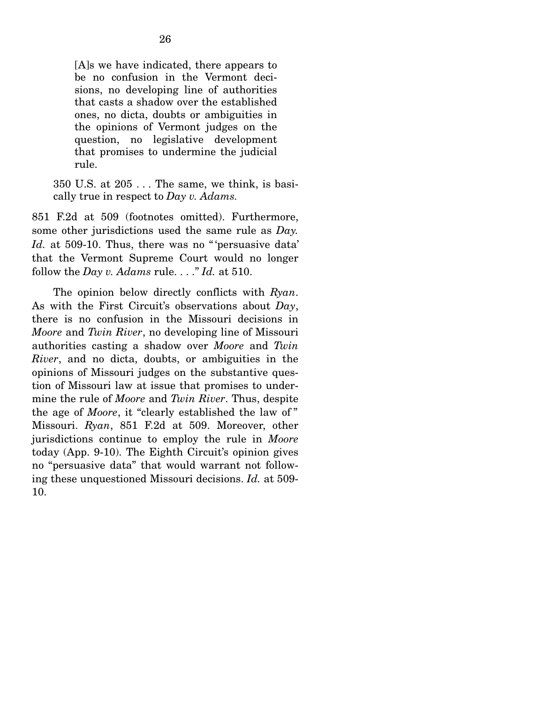[A]s we have indicated, there appears to be no confusion in the Vermont decisions, no developing line of authorities that casts a shadow over the established ones, no dicta, doubts or ambiguities in the opinions of Vermont judges on the question, no legislative development that promises to undermine the judicial rule.

350 U.S. at 205 . . . The same, we think, is basically true in respect to *Day v. Adams.*

851 F.2d at 509 (footnotes omitted). Furthermore, some other jurisdictions used the same rule as *Day.*  Id. at 509-10. Thus, there was no "'persuasive data' that the Vermont Supreme Court would no longer follow the *Day v. Adams* rule. . . ." *Id.* at 510.

 The opinion below directly conflicts with *Ryan*. As with the First Circuit's observations about *Day*, there is no confusion in the Missouri decisions in *Moore* and *Twin River*, no developing line of Missouri authorities casting a shadow over *Moore* and *Twin River*, and no dicta, doubts, or ambiguities in the opinions of Missouri judges on the substantive question of Missouri law at issue that promises to undermine the rule of *Moore* and *Twin River*. Thus, despite the age of *Moore*, it "clearly established the law of " Missouri. *Ryan*, 851 F.2d at 509. Moreover, other jurisdictions continue to employ the rule in *Moore* today (App. 9-10). The Eighth Circuit's opinion gives no "persuasive data" that would warrant not following these unquestioned Missouri decisions. *Id.* at 509- 10.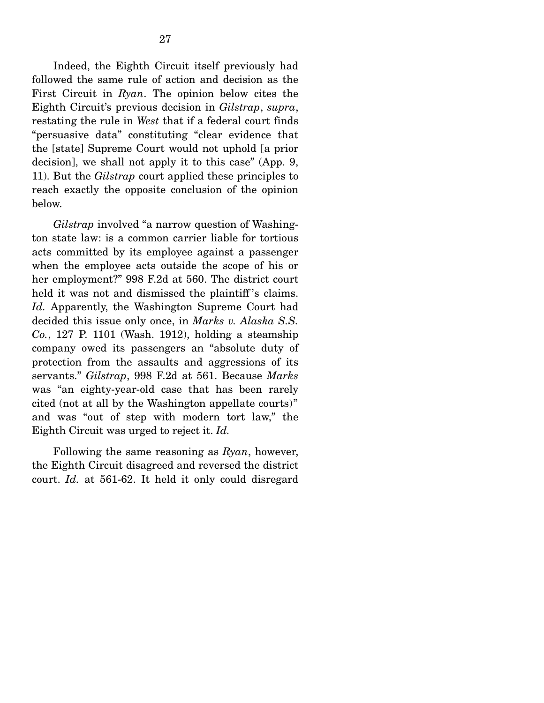Indeed, the Eighth Circuit itself previously had followed the same rule of action and decision as the First Circuit in *Ryan*. The opinion below cites the Eighth Circuit's previous decision in *Gilstrap*, *supra*, restating the rule in *West* that if a federal court finds "persuasive data" constituting "clear evidence that the [state] Supreme Court would not uphold [a prior decision], we shall not apply it to this case" (App. 9, 11). But the *Gilstrap* court applied these principles to reach exactly the opposite conclusion of the opinion below.

*Gilstrap* involved "a narrow question of Washington state law: is a common carrier liable for tortious acts committed by its employee against a passenger when the employee acts outside the scope of his or her employment?" 998 F.2d at 560. The district court held it was not and dismissed the plaintiff's claims. *Id.* Apparently, the Washington Supreme Court had decided this issue only once, in *Marks v. Alaska S.S. Co.*, 127 P. 1101 (Wash. 1912), holding a steamship company owed its passengers an "absolute duty of protection from the assaults and aggressions of its servants." *Gilstrap*, 998 F.2d at 561. Because *Marks*  was "an eighty-year-old case that has been rarely cited (not at all by the Washington appellate courts)" and was "out of step with modern tort law," the Eighth Circuit was urged to reject it. *Id.*

Following the same reasoning as *Ryan*, however, the Eighth Circuit disagreed and reversed the district court. *Id.* at 561-62. It held it only could disregard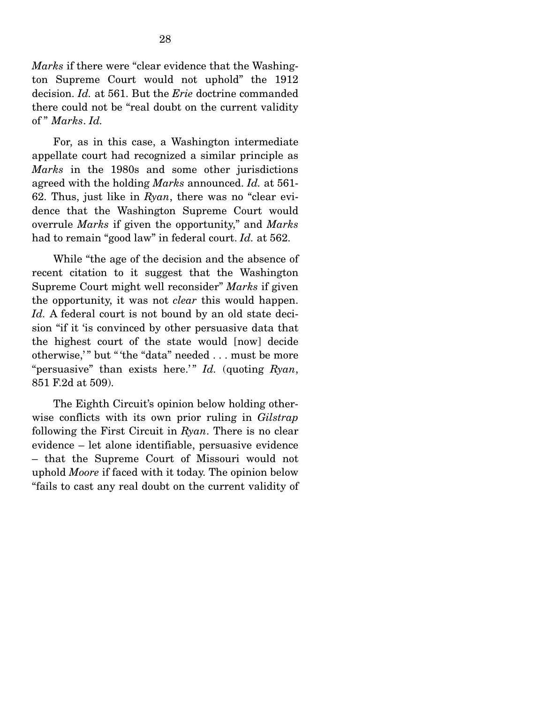*Marks* if there were "clear evidence that the Washington Supreme Court would not uphold" the 1912 decision. *Id.* at 561. But the *Erie* doctrine commanded there could not be "real doubt on the current validity of " *Marks*. *Id.*

For, as in this case, a Washington intermediate appellate court had recognized a similar principle as *Marks* in the 1980s and some other jurisdictions agreed with the holding *Marks* announced. *Id.* at 561- 62. Thus, just like in *Ryan*, there was no "clear evidence that the Washington Supreme Court would overrule *Marks* if given the opportunity," and *Marks*  had to remain "good law" in federal court. *Id.* at 562.

 While "the age of the decision and the absence of recent citation to it suggest that the Washington Supreme Court might well reconsider" *Marks* if given the opportunity, it was not *clear* this would happen. Id. A federal court is not bound by an old state decision "if it 'is convinced by other persuasive data that the highest court of the state would [now] decide otherwise," but "'the "data" needed ... must be more "persuasive" than exists here.'" *Id.* (quoting *Ryan*, 851 F.2d at 509).

 The Eighth Circuit's opinion below holding otherwise conflicts with its own prior ruling in *Gilstrap* following the First Circuit in *Ryan*. There is no clear evidence – let alone identifiable, persuasive evidence – that the Supreme Court of Missouri would not uphold *Moore* if faced with it today. The opinion below "fails to cast any real doubt on the current validity of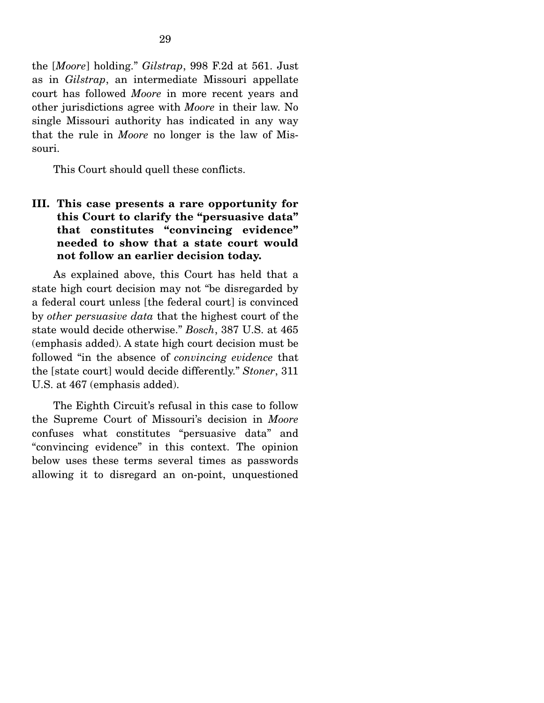the [*Moore*] holding." *Gilstrap*, 998 F.2d at 561. Just as in *Gilstrap*, an intermediate Missouri appellate court has followed *Moore* in more recent years and other jurisdictions agree with *Moore* in their law. No single Missouri authority has indicated in any way that the rule in *Moore* no longer is the law of Missouri.

This Court should quell these conflicts.

# **III. This case presents a rare opportunity for this Court to clarify the "persuasive data" that constitutes "convincing evidence" needed to show that a state court would not follow an earlier decision today.**

 As explained above, this Court has held that a state high court decision may not "be disregarded by a federal court unless [the federal court] is convinced by *other persuasive data* that the highest court of the state would decide otherwise." *Bosch*, 387 U.S. at 465 (emphasis added). A state high court decision must be followed "in the absence of *convincing evidence* that the [state court] would decide differently." *Stoner*, 311 U.S. at 467 (emphasis added).

 The Eighth Circuit's refusal in this case to follow the Supreme Court of Missouri's decision in *Moore* confuses what constitutes "persuasive data" and "convincing evidence" in this context. The opinion below uses these terms several times as passwords allowing it to disregard an on-point, unquestioned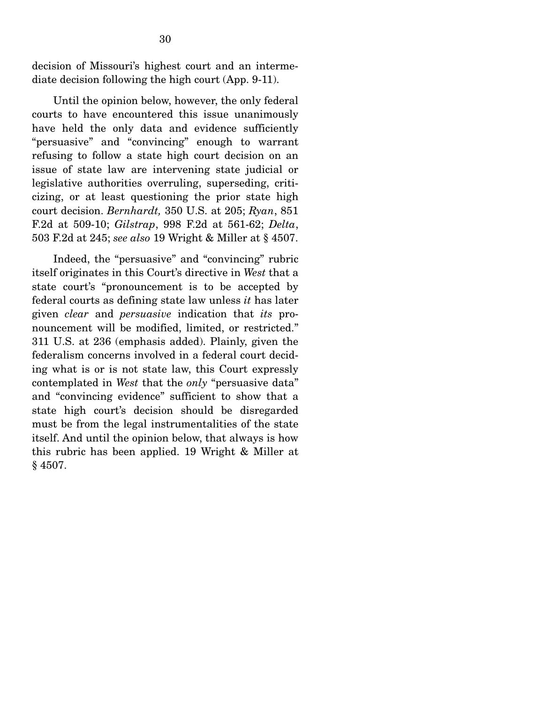decision of Missouri's highest court and an intermediate decision following the high court (App. 9-11).

 Until the opinion below, however, the only federal courts to have encountered this issue unanimously have held the only data and evidence sufficiently "persuasive" and "convincing" enough to warrant refusing to follow a state high court decision on an issue of state law are intervening state judicial or legislative authorities overruling, superseding, criticizing, or at least questioning the prior state high court decision. *Bernhardt,* 350 U.S. at 205; *Ryan*, 851 F.2d at 509-10; *Gilstrap*, 998 F.2d at 561-62; *Delta*, 503 F.2d at 245; *see also* 19 Wright & Miller at § 4507.

 Indeed, the "persuasive" and "convincing" rubric itself originates in this Court's directive in *West* that a state court's "pronouncement is to be accepted by federal courts as defining state law unless *it* has later given *clear* and *persuasive* indication that *its* pronouncement will be modified, limited, or restricted." 311 U.S. at 236 (emphasis added). Plainly, given the federalism concerns involved in a federal court deciding what is or is not state law, this Court expressly contemplated in *West* that the *only* "persuasive data" and "convincing evidence" sufficient to show that a state high court's decision should be disregarded must be from the legal instrumentalities of the state itself. And until the opinion below, that always is how this rubric has been applied. 19 Wright & Miller at § 4507.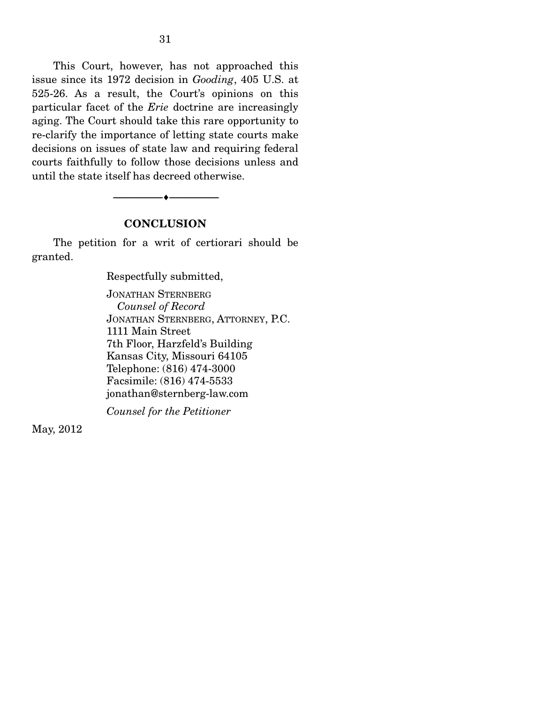This Court, however, has not approached this issue since its 1972 decision in *Gooding*, 405 U.S. at 525-26. As a result, the Court's opinions on this particular facet of the *Erie* doctrine are increasingly aging. The Court should take this rare opportunity to re-clarify the importance of letting state courts make decisions on issues of state law and requiring federal courts faithfully to follow those decisions unless and until the state itself has decreed otherwise.

#### **CONCLUSION**

--------------------------------- ---------------------------------

 The petition for a writ of certiorari should be granted.

Respectfully submitted,

JONATHAN STERNBERG  *Counsel of Record*  JONATHAN STERNBERG, ATTORNEY, P.C. 1111 Main Street 7th Floor, Harzfeld's Building Kansas City, Missouri 64105 Telephone: (816) 474-3000 Facsimile: (816) 474-5533 jonathan@sternberg-law.com

*Counsel for the Petitioner* 

May, 2012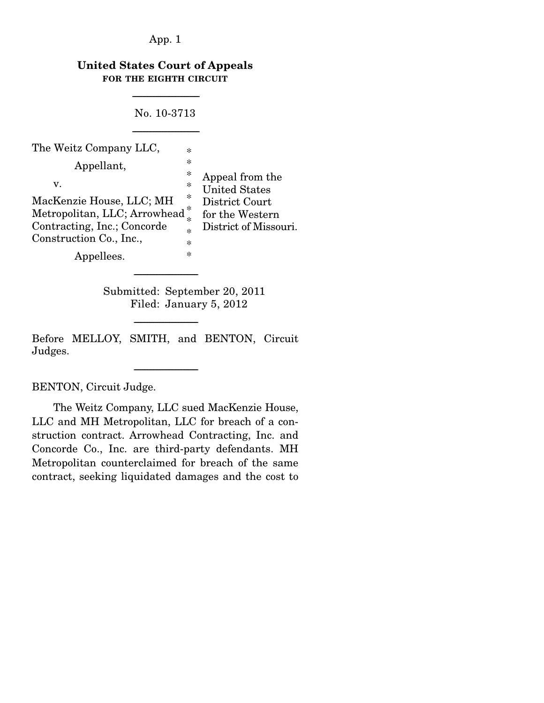## **United States Court of Appeals FOR THE EIGHTH CIRCUIT**

---------------------------------------------

No. 10-3713

---------------------------------------------

| The Weitz Company LLC,        | $\ast$ |                                         |
|-------------------------------|--------|-----------------------------------------|
| Appellant,                    | $\ast$ |                                         |
| V.                            | ∗<br>∗ | Appeal from the<br><b>United States</b> |
| MacKenzie House, LLC; MH      | $\ast$ | District Court                          |
| Metropolitan, LLC; Arrowhead* |        | for the Western                         |
| Contracting, Inc.; Concorde   | $\ast$ | District of Missouri.                   |
| Construction Co., Inc.,       | $\ast$ |                                         |
| Appellees.                    | ∗      |                                         |

 Submitted: September 20, 2011 Filed: January 5, 2012

Before MELLOY, SMITH, and BENTON, Circuit Judges.

-------------------------------------------

-------------------------------------------

-------------------------------------------

BENTON, Circuit Judge.

 The Weitz Company, LLC sued MacKenzie House, LLC and MH Metropolitan, LLC for breach of a construction contract. Arrowhead Contracting, Inc. and Concorde Co., Inc. are third-party defendants. MH Metropolitan counterclaimed for breach of the same contract, seeking liquidated damages and the cost to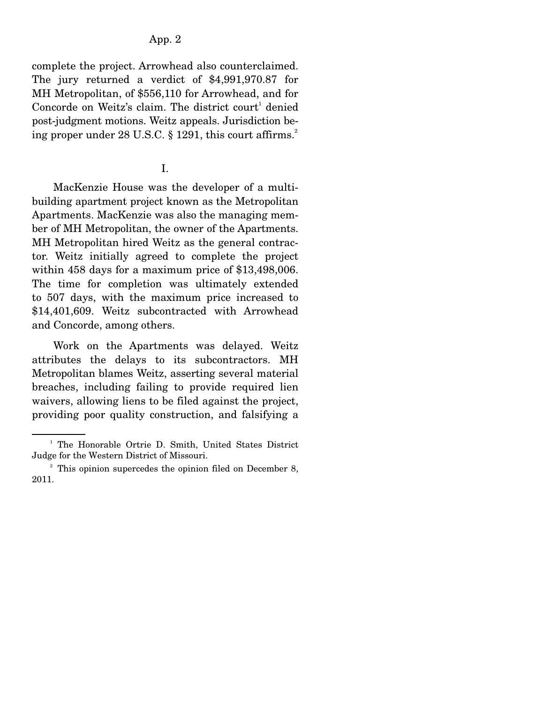complete the project. Arrowhead also counterclaimed. The jury returned a verdict of \$4,991,970.87 for MH Metropolitan, of \$556,110 for Arrowhead, and for Concorde on Weitz's claim. The district court<sup>1</sup> denied post-judgment motions. Weitz appeals. Jurisdiction being proper under  $28$  U.S.C.  $\S$  1291, this court affirms.<sup>2</sup>

# I.

 MacKenzie House was the developer of a multibuilding apartment project known as the Metropolitan Apartments. MacKenzie was also the managing member of MH Metropolitan, the owner of the Apartments. MH Metropolitan hired Weitz as the general contractor. Weitz initially agreed to complete the project within 458 days for a maximum price of \$13,498,006. The time for completion was ultimately extended to 507 days, with the maximum price increased to \$14,401,609. Weitz subcontracted with Arrowhead and Concorde, among others.

 Work on the Apartments was delayed. Weitz attributes the delays to its subcontractors. MH Metropolitan blames Weitz, asserting several material breaches, including failing to provide required lien waivers, allowing liens to be filed against the project, providing poor quality construction, and falsifying a

<sup>&</sup>lt;sup>1</sup> The Honorable Ortrie D. Smith, United States District Judge for the Western District of Missouri.

<sup>&</sup>lt;sup>2</sup> This opinion supercedes the opinion filed on December 8, 2011.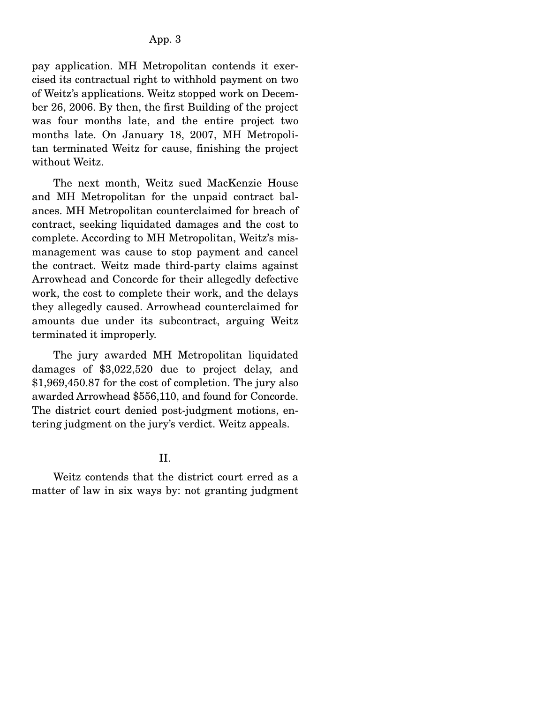pay application. MH Metropolitan contends it exercised its contractual right to withhold payment on two of Weitz's applications. Weitz stopped work on December 26, 2006. By then, the first Building of the project was four months late, and the entire project two months late. On January 18, 2007, MH Metropolitan terminated Weitz for cause, finishing the project without Weitz.

 The next month, Weitz sued MacKenzie House and MH Metropolitan for the unpaid contract balances. MH Metropolitan counterclaimed for breach of contract, seeking liquidated damages and the cost to complete. According to MH Metropolitan, Weitz's mismanagement was cause to stop payment and cancel the contract. Weitz made third-party claims against Arrowhead and Concorde for their allegedly defective work, the cost to complete their work, and the delays they allegedly caused. Arrowhead counterclaimed for amounts due under its subcontract, arguing Weitz terminated it improperly.

 The jury awarded MH Metropolitan liquidated damages of \$3,022,520 due to project delay, and \$1,969,450.87 for the cost of completion. The jury also awarded Arrowhead \$556,110, and found for Concorde. The district court denied post-judgment motions, entering judgment on the jury's verdict. Weitz appeals.

II.

 Weitz contends that the district court erred as a matter of law in six ways by: not granting judgment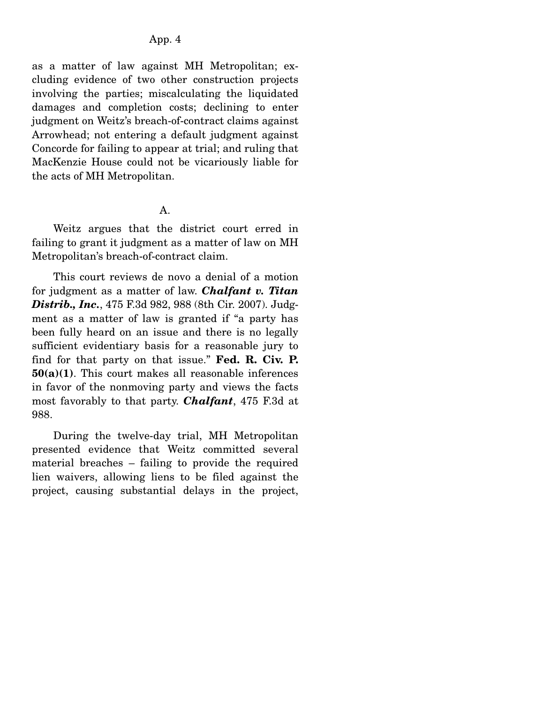as a matter of law against MH Metropolitan; excluding evidence of two other construction projects involving the parties; miscalculating the liquidated damages and completion costs; declining to enter judgment on Weitz's breach-of-contract claims against Arrowhead; not entering a default judgment against Concorde for failing to appear at trial; and ruling that MacKenzie House could not be vicariously liable for the acts of MH Metropolitan.

A.

 Weitz argues that the district court erred in failing to grant it judgment as a matter of law on MH Metropolitan's breach-of-contract claim.

 This court reviews de novo a denial of a motion for judgment as a matter of law. *Chalfant v. Titan Distrib., Inc.*, 475 F.3d 982, 988 (8th Cir. 2007). Judgment as a matter of law is granted if "a party has been fully heard on an issue and there is no legally sufficient evidentiary basis for a reasonable jury to find for that party on that issue." **Fed. R. Civ. P. 50(a)(1)**. This court makes all reasonable inferences in favor of the nonmoving party and views the facts most favorably to that party. *Chalfant*, 475 F.3d at 988.

 During the twelve-day trial, MH Metropolitan presented evidence that Weitz committed several material breaches – failing to provide the required lien waivers, allowing liens to be filed against the project, causing substantial delays in the project,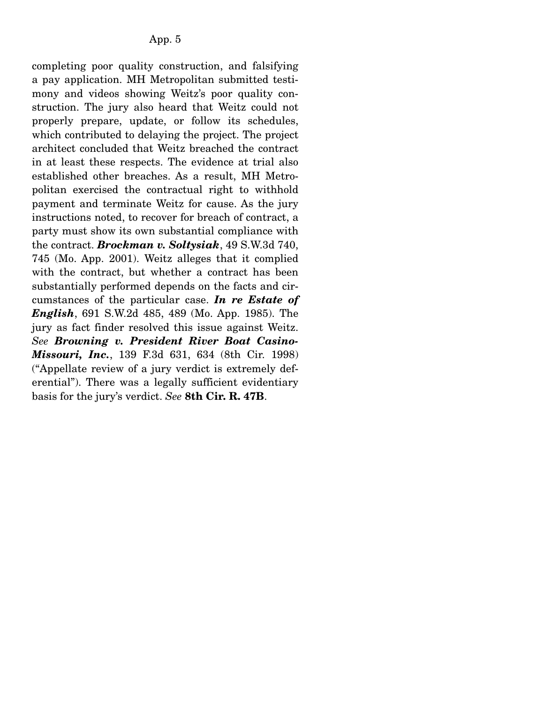completing poor quality construction, and falsifying a pay application. MH Metropolitan submitted testimony and videos showing Weitz's poor quality construction. The jury also heard that Weitz could not properly prepare, update, or follow its schedules, which contributed to delaying the project. The project architect concluded that Weitz breached the contract in at least these respects. The evidence at trial also established other breaches. As a result, MH Metropolitan exercised the contractual right to withhold payment and terminate Weitz for cause. As the jury instructions noted, to recover for breach of contract, a party must show its own substantial compliance with the contract. *Brockman v. Soltysiak*, 49 S.W.3d 740, 745 (Mo. App. 2001). Weitz alleges that it complied with the contract, but whether a contract has been substantially performed depends on the facts and circumstances of the particular case. *In re Estate of English*, 691 S.W.2d 485, 489 (Mo. App. 1985). The jury as fact finder resolved this issue against Weitz. *See Browning v. President River Boat Casino-Missouri, Inc.*, 139 F.3d 631, 634 (8th Cir. 1998) ("Appellate review of a jury verdict is extremely deferential"). There was a legally sufficient evidentiary basis for the jury's verdict. *See* **8th Cir. R. 47B**.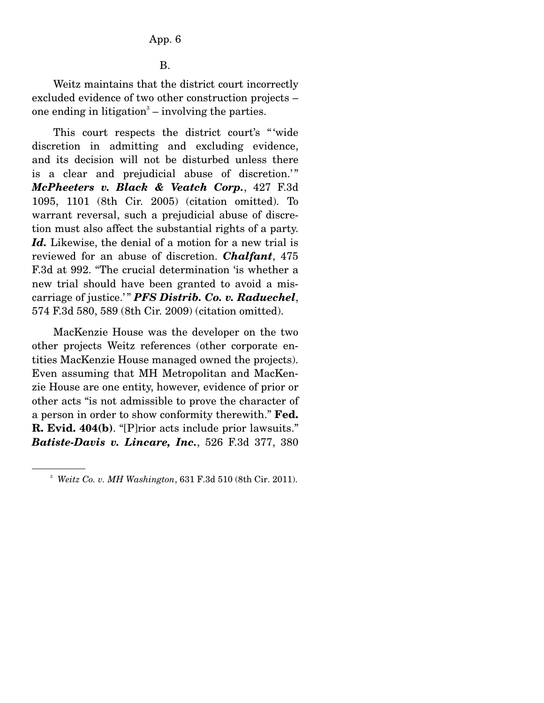B.

 Weitz maintains that the district court incorrectly excluded evidence of two other construction projects – one ending in litigation<sup>3</sup> – involving the parties.

 This court respects the district court's " 'wide discretion in admitting and excluding evidence, and its decision will not be disturbed unless there is a clear and prejudicial abuse of discretion.'" *McPheeters v. Black & Veatch Corp.*, 427 F.3d 1095, 1101 (8th Cir. 2005) (citation omitted). To warrant reversal, such a prejudicial abuse of discretion must also affect the substantial rights of a party. Id. Likewise, the denial of a motion for a new trial is reviewed for an abuse of discretion. *Chalfant*, 475 F.3d at 992. "The crucial determination 'is whether a new trial should have been granted to avoid a miscarriage of justice.'" **PFS Distrib. Co. v. Raduechel**, 574 F.3d 580, 589 (8th Cir. 2009) (citation omitted).

 MacKenzie House was the developer on the two other projects Weitz references (other corporate entities MacKenzie House managed owned the projects). Even assuming that MH Metropolitan and MacKenzie House are one entity, however, evidence of prior or other acts "is not admissible to prove the character of a person in order to show conformity therewith." **Fed. R. Evid. 404(b)**. "[P]rior acts include prior lawsuits." *Batiste-Davis v. Lincare, Inc.*, 526 F.3d 377, 380

<sup>3</sup> *Weitz Co. v. MH Washington*, 631 F.3d 510 (8th Cir. 2011).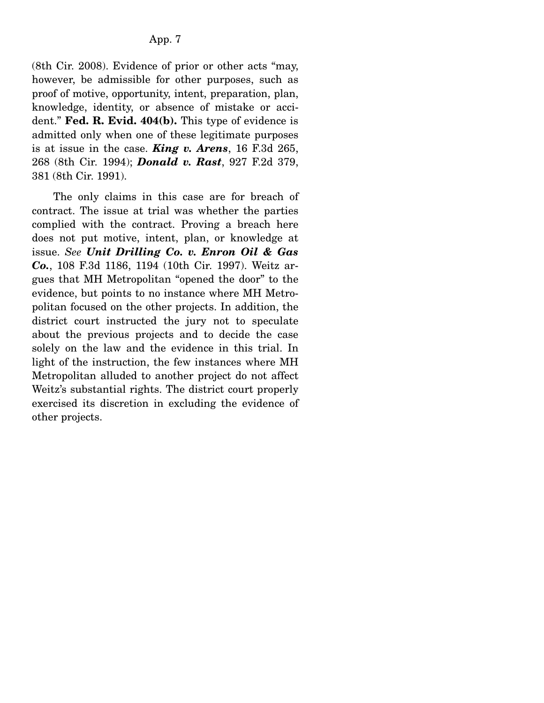(8th Cir. 2008). Evidence of prior or other acts "may, however, be admissible for other purposes, such as proof of motive, opportunity, intent, preparation, plan, knowledge, identity, or absence of mistake or accident." **Fed. R. Evid. 404(b).** This type of evidence is admitted only when one of these legitimate purposes is at issue in the case. *King v. Arens*, 16 F.3d 265, 268 (8th Cir. 1994); *Donald v. Rast*, 927 F.2d 379, 381 (8th Cir. 1991).

 The only claims in this case are for breach of contract. The issue at trial was whether the parties complied with the contract. Proving a breach here does not put motive, intent, plan, or knowledge at issue. *See Unit Drilling Co. v. Enron Oil & Gas Co.*, 108 F.3d 1186, 1194 (10th Cir. 1997). Weitz argues that MH Metropolitan "opened the door" to the evidence, but points to no instance where MH Metropolitan focused on the other projects. In addition, the district court instructed the jury not to speculate about the previous projects and to decide the case solely on the law and the evidence in this trial. In light of the instruction, the few instances where MH Metropolitan alluded to another project do not affect Weitz's substantial rights. The district court properly exercised its discretion in excluding the evidence of other projects.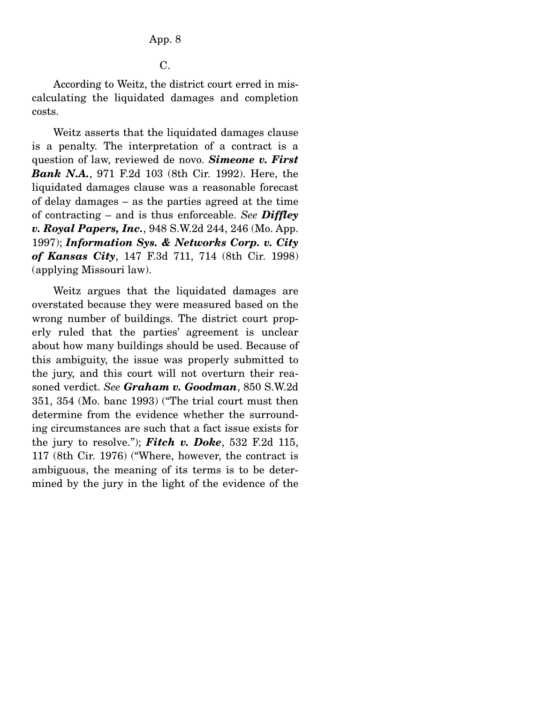According to Weitz, the district court erred in miscalculating the liquidated damages and completion costs.

 Weitz asserts that the liquidated damages clause is a penalty. The interpretation of a contract is a question of law, reviewed de novo. *Simeone v. First Bank N.A.*, 971 F.2d 103 (8th Cir. 1992). Here, the liquidated damages clause was a reasonable forecast of delay damages – as the parties agreed at the time of contracting – and is thus enforceable. *See Diffley v. Royal Papers, Inc.*, 948 S.W.2d 244, 246 (Mo. App. 1997); *Information Sys. & Networks Corp. v. City of Kansas City*, 147 F.3d 711, 714 (8th Cir. 1998) (applying Missouri law).

 Weitz argues that the liquidated damages are overstated because they were measured based on the wrong number of buildings. The district court properly ruled that the parties' agreement is unclear about how many buildings should be used. Because of this ambiguity, the issue was properly submitted to the jury, and this court will not overturn their reasoned verdict. *See Graham v. Goodman*, 850 S.W.2d 351, 354 (Mo. banc 1993) ("The trial court must then determine from the evidence whether the surrounding circumstances are such that a fact issue exists for the jury to resolve."); *Fitch v. Doke*, 532 F.2d 115, 117 (8th Cir. 1976) ("Where, however, the contract is ambiguous, the meaning of its terms is to be determined by the jury in the light of the evidence of the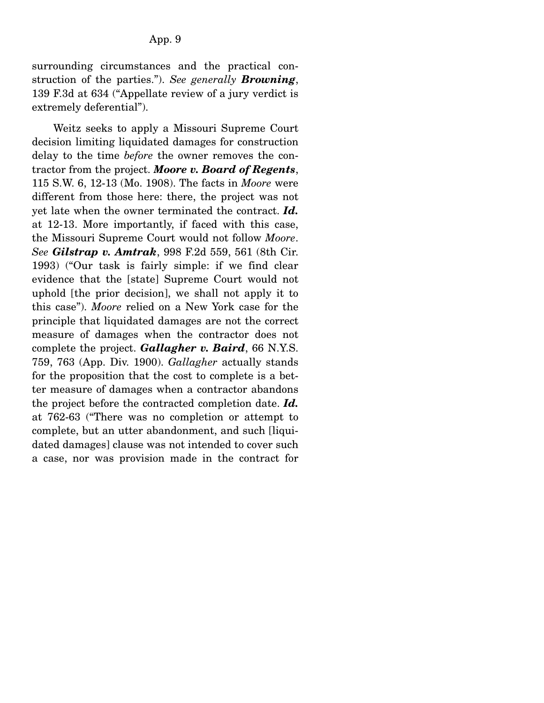surrounding circumstances and the practical construction of the parties."). *See generally Browning*, 139 F.3d at 634 ("Appellate review of a jury verdict is extremely deferential").

 Weitz seeks to apply a Missouri Supreme Court decision limiting liquidated damages for construction delay to the time *before* the owner removes the contractor from the project. *Moore v. Board of Regents*, 115 S.W. 6, 12-13 (Mo. 1908). The facts in *Moore* were different from those here: there, the project was not yet late when the owner terminated the contract. *Id.*  at 12-13. More importantly, if faced with this case, the Missouri Supreme Court would not follow *Moore*. *See Gilstrap v. Amtrak*, 998 F.2d 559, 561 (8th Cir. 1993) ("Our task is fairly simple: if we find clear evidence that the [state] Supreme Court would not uphold [the prior decision], we shall not apply it to this case"). *Moore* relied on a New York case for the principle that liquidated damages are not the correct measure of damages when the contractor does not complete the project. *Gallagher v. Baird*, 66 N.Y.S. 759, 763 (App. Div. 1900). *Gallagher* actually stands for the proposition that the cost to complete is a better measure of damages when a contractor abandons the project before the contracted completion date. *Id.*  at 762-63 ("There was no completion or attempt to complete, but an utter abandonment, and such [liquidated damages] clause was not intended to cover such a case, nor was provision made in the contract for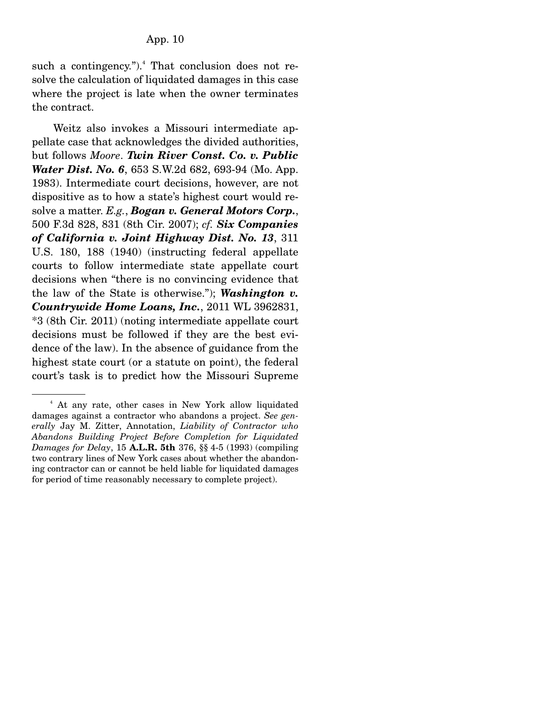such a contingency."). $4$  That conclusion does not resolve the calculation of liquidated damages in this case where the project is late when the owner terminates the contract.

 Weitz also invokes a Missouri intermediate appellate case that acknowledges the divided authorities, but follows *Moore*. *Twin River Const. Co. v. Public Water Dist. No. 6*, 653 S.W.2d 682, 693-94 (Mo. App. 1983). Intermediate court decisions, however, are not dispositive as to how a state's highest court would resolve a matter. *E.g.*, *Bogan v. General Motors Corp.*, 500 F.3d 828, 831 (8th Cir. 2007); *cf. Six Companies of California v. Joint Highway Dist. No. 13*, 311 U.S. 180, 188 (1940) (instructing federal appellate courts to follow intermediate state appellate court decisions when "there is no convincing evidence that the law of the State is otherwise."); *Washington v. Countrywide Home Loans, Inc.*, 2011 WL 3962831, \*3 (8th Cir. 2011) (noting intermediate appellate court decisions must be followed if they are the best evidence of the law). In the absence of guidance from the highest state court (or a statute on point), the federal court's task is to predict how the Missouri Supreme

<sup>4</sup> At any rate, other cases in New York allow liquidated damages against a contractor who abandons a project. *See generally* Jay M. Zitter, Annotation, *Liability of Contractor who Abandons Building Project Before Completion for Liquidated Damages for Delay*, 15 **A.L.R. 5th** 376, §§ 4-5 (1993) (compiling two contrary lines of New York cases about whether the abandoning contractor can or cannot be held liable for liquidated damages for period of time reasonably necessary to complete project).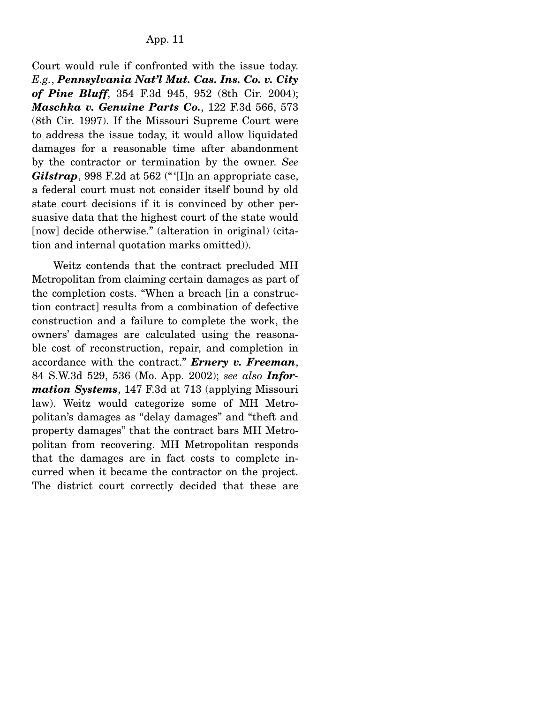Court would rule if confronted with the issue today. *E.g.*, *Pennsylvania Nat'l Mut. Cas. Ins. Co. v. City of Pine Bluff*, 354 F.3d 945, 952 (8th Cir. 2004); *Maschka v. Genuine Parts Co.*, 122 F.3d 566, 573 (8th Cir. 1997). If the Missouri Supreme Court were to address the issue today, it would allow liquidated damages for a reasonable time after abandonment by the contractor or termination by the owner. *See Gilstrap*, 998 F.2d at 562 ("*II*]n an appropriate case, a federal court must not consider itself bound by old state court decisions if it is convinced by other persuasive data that the highest court of the state would [now] decide otherwise." (alteration in original) (citation and internal quotation marks omitted)).

 Weitz contends that the contract precluded MH Metropolitan from claiming certain damages as part of the completion costs. "When a breach [in a construction contract] results from a combination of defective construction and a failure to complete the work, the owners' damages are calculated using the reasonable cost of reconstruction, repair, and completion in accordance with the contract." *Ernery v. Freeman*, 84 S.W.3d 529, 536 (Mo. App. 2002); *see also Information Systems*, 147 F.3d at 713 (applying Missouri law). Weitz would categorize some of MH Metropolitan's damages as "delay damages" and "theft and property damages" that the contract bars MH Metropolitan from recovering. MH Metropolitan responds that the damages are in fact costs to complete incurred when it became the contractor on the project. The district court correctly decided that these are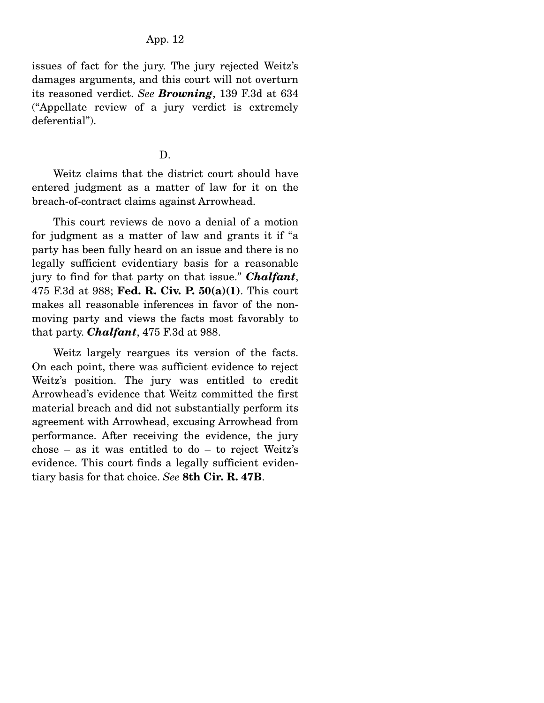issues of fact for the jury. The jury rejected Weitz's damages arguments, and this court will not overturn its reasoned verdict. *See Browning*, 139 F.3d at 634 ("Appellate review of a jury verdict is extremely deferential").

#### D.

 Weitz claims that the district court should have entered judgment as a matter of law for it on the breach-of-contract claims against Arrowhead.

 This court reviews de novo a denial of a motion for judgment as a matter of law and grants it if "a party has been fully heard on an issue and there is no legally sufficient evidentiary basis for a reasonable jury to find for that party on that issue." *Chalfant*, 475 F.3d at 988; **Fed. R. Civ. P. 50(a)(1)**. This court makes all reasonable inferences in favor of the nonmoving party and views the facts most favorably to that party. *Chalfant*, 475 F.3d at 988.

 Weitz largely reargues its version of the facts. On each point, there was sufficient evidence to reject Weitz's position. The jury was entitled to credit Arrowhead's evidence that Weitz committed the first material breach and did not substantially perform its agreement with Arrowhead, excusing Arrowhead from performance. After receiving the evidence, the jury chose – as it was entitled to do – to reject Weitz's evidence. This court finds a legally sufficient evidentiary basis for that choice. *See* **8th Cir. R. 47B**.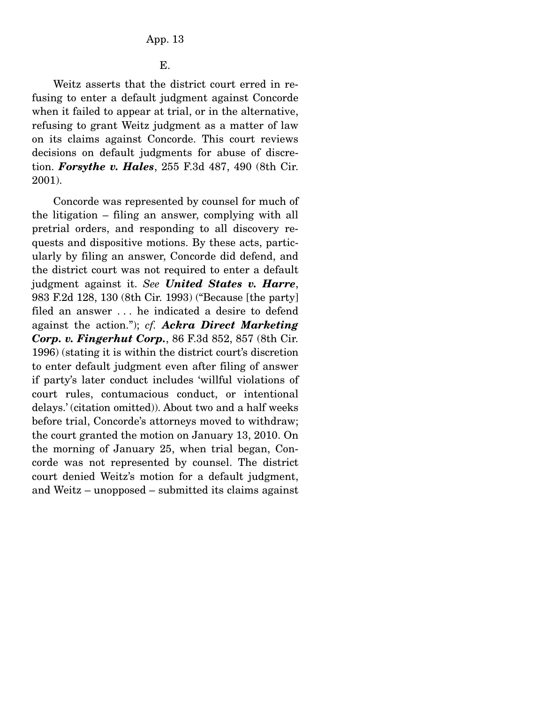E.

 Weitz asserts that the district court erred in refusing to enter a default judgment against Concorde when it failed to appear at trial, or in the alternative, refusing to grant Weitz judgment as a matter of law on its claims against Concorde. This court reviews decisions on default judgments for abuse of discretion. *Forsythe v. Hales*, 255 F.3d 487, 490 (8th Cir. 2001).

 Concorde was represented by counsel for much of the litigation – filing an answer, complying with all pretrial orders, and responding to all discovery requests and dispositive motions. By these acts, particularly by filing an answer, Concorde did defend, and the district court was not required to enter a default judgment against it. *See United States v. Harre*, 983 F.2d 128, 130 (8th Cir. 1993) ("Because [the party] filed an answer . . . he indicated a desire to defend against the action."); *cf. Ackra Direct Marketing Corp. v. Fingerhut Corp.*, 86 F.3d 852, 857 (8th Cir. 1996) (stating it is within the district court's discretion to enter default judgment even after filing of answer if party's later conduct includes 'willful violations of court rules, contumacious conduct, or intentional delays.' (citation omitted)). About two and a half weeks before trial, Concorde's attorneys moved to withdraw; the court granted the motion on January 13, 2010. On the morning of January 25, when trial began, Concorde was not represented by counsel. The district court denied Weitz's motion for a default judgment, and Weitz – unopposed – submitted its claims against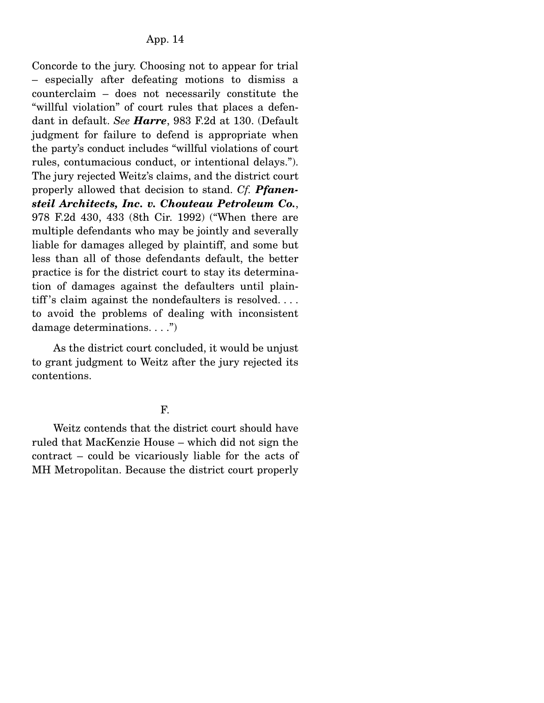Concorde to the jury. Choosing not to appear for trial – especially after defeating motions to dismiss a counterclaim – does not necessarily constitute the "willful violation" of court rules that places a defendant in default. *See Harre*, 983 F.2d at 130. (Default judgment for failure to defend is appropriate when the party's conduct includes "willful violations of court rules, contumacious conduct, or intentional delays."). The jury rejected Weitz's claims, and the district court properly allowed that decision to stand. *Cf. Pfanensteil Architects, Inc. v. Chouteau Petroleum Co.*, 978 F.2d 430, 433 (8th Cir. 1992) ("When there are multiple defendants who may be jointly and severally liable for damages alleged by plaintiff, and some but less than all of those defendants default, the better practice is for the district court to stay its determination of damages against the defaulters until plaintiff's claim against the nondefaulters is resolved.... to avoid the problems of dealing with inconsistent damage determinations. . . .")

 As the district court concluded, it would be unjust to grant judgment to Weitz after the jury rejected its contentions.

## F.

 Weitz contends that the district court should have ruled that MacKenzie House – which did not sign the contract – could be vicariously liable for the acts of MH Metropolitan. Because the district court properly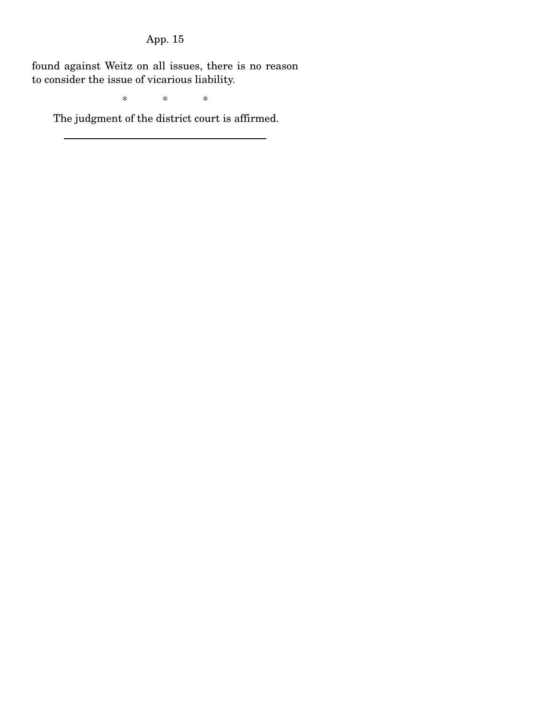found against Weitz on all issues, there is no reason to consider the issue of vicarious liability.

\* \* \*

The judgment of the district court is affirmed.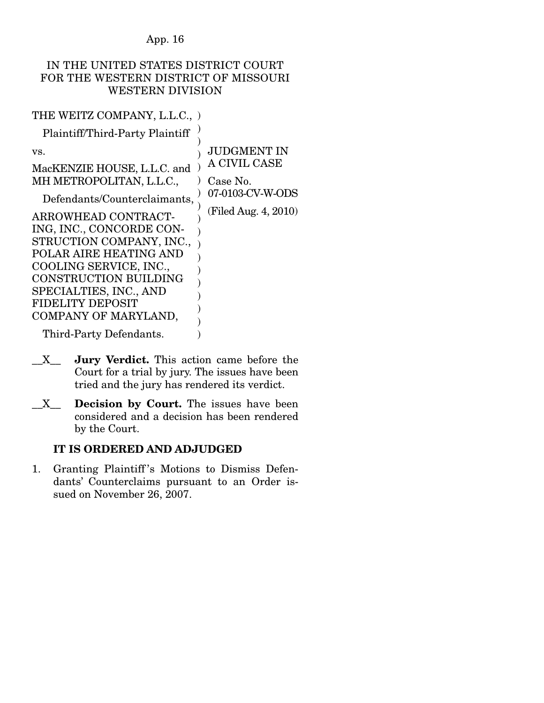## IN THE UNITED STATES DISTRICT COURT FOR THE WESTERN DISTRICT OF MISSOURI WESTERN DIVISION

) )

JUDGMENT IN

THE WEITZ COMPANY, L.L.C., )

Plaintiff/Third-Party Plaintiff

vs.

MacKENZIE HOUSE, L.L.C. and ) MH METROPOLITAN, L.L.C., Defendants/Counterclaimants, ARROWHEAD CONTRACT-) ) ) ) A CIVIL CASE Case No. 07-0103-CV-W-ODS (Filed Aug. 4, 2010)

ING, INC., CONCORDE CON-STRUCTION COMPANY, INC., POLAR AIRE HEATING AND COOLING SERVICE, INC., CONSTRUCTION BUILDING SPECIALTIES, INC., AND FIDELITY DEPOSIT COMPANY OF MARYLAND, ) ) ) ) ) ) ) )

Third-Party Defendants.

\_\_X\_\_ **Jury Verdict.** This action came before the Court for a trial by jury. The issues have been tried and the jury has rendered its verdict.

 $\lambda$ 

\_\_X\_\_ **Decision by Court.** The issues have been considered and a decision has been rendered by the Court.

# **IT IS ORDERED AND ADJUDGED**

1. Granting Plaintiff 's Motions to Dismiss Defendants' Counterclaims pursuant to an Order issued on November 26, 2007.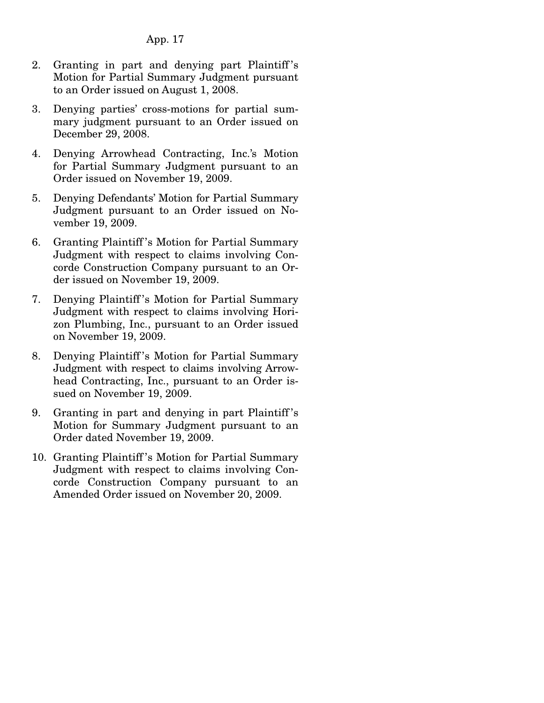- 2. Granting in part and denying part Plaintiff 's Motion for Partial Summary Judgment pursuant to an Order issued on August 1, 2008.
- 3. Denying parties' cross-motions for partial summary judgment pursuant to an Order issued on December 29, 2008.
- 4. Denying Arrowhead Contracting, Inc.'s Motion for Partial Summary Judgment pursuant to an Order issued on November 19, 2009.
- 5. Denying Defendants' Motion for Partial Summary Judgment pursuant to an Order issued on November 19, 2009.
- 6. Granting Plaintiff 's Motion for Partial Summary Judgment with respect to claims involving Concorde Construction Company pursuant to an Order issued on November 19, 2009.
- 7. Denying Plaintiff 's Motion for Partial Summary Judgment with respect to claims involving Horizon Plumbing, Inc., pursuant to an Order issued on November 19, 2009.
- 8. Denying Plaintiff 's Motion for Partial Summary Judgment with respect to claims involving Arrowhead Contracting, Inc., pursuant to an Order issued on November 19, 2009.
- 9. Granting in part and denying in part Plaintiff 's Motion for Summary Judgment pursuant to an Order dated November 19, 2009.
- 10. Granting Plaintiff 's Motion for Partial Summary Judgment with respect to claims involving Concorde Construction Company pursuant to an Amended Order issued on November 20, 2009.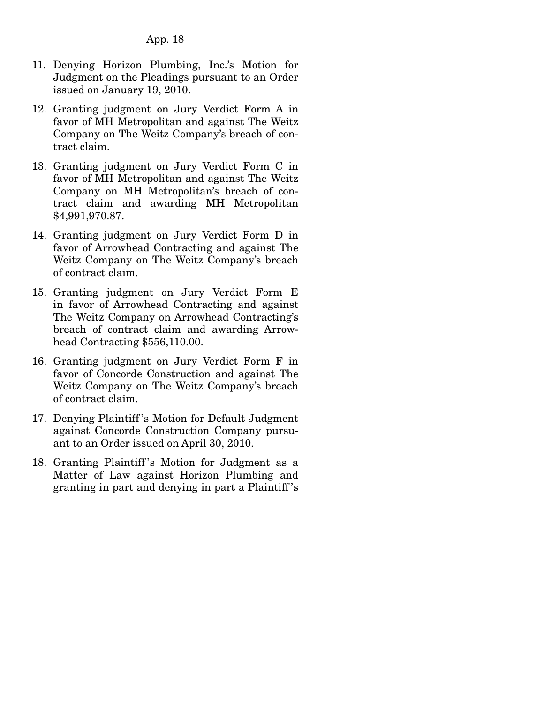- 11. Denying Horizon Plumbing, Inc.'s Motion for Judgment on the Pleadings pursuant to an Order issued on January 19, 2010.
- 12. Granting judgment on Jury Verdict Form A in favor of MH Metropolitan and against The Weitz Company on The Weitz Company's breach of contract claim.
- 13. Granting judgment on Jury Verdict Form C in favor of MH Metropolitan and against The Weitz Company on MH Metropolitan's breach of contract claim and awarding MH Metropolitan \$4,991,970.87.
- 14. Granting judgment on Jury Verdict Form D in favor of Arrowhead Contracting and against The Weitz Company on The Weitz Company's breach of contract claim.
- 15. Granting judgment on Jury Verdict Form E in favor of Arrowhead Contracting and against The Weitz Company on Arrowhead Contracting's breach of contract claim and awarding Arrowhead Contracting \$556,110.00.
- 16. Granting judgment on Jury Verdict Form F in favor of Concorde Construction and against The Weitz Company on The Weitz Company's breach of contract claim.
- 17. Denying Plaintiff 's Motion for Default Judgment against Concorde Construction Company pursuant to an Order issued on April 30, 2010.
- 18. Granting Plaintiff 's Motion for Judgment as a Matter of Law against Horizon Plumbing and granting in part and denying in part a Plaintiff 's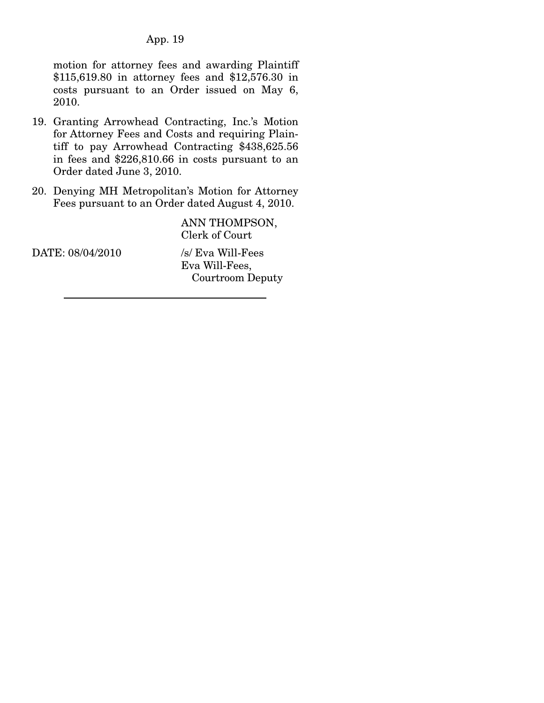motion for attorney fees and awarding Plaintiff \$115,619.80 in attorney fees and \$12,576.30 in costs pursuant to an Order issued on May 6, 2010.

- 19. Granting Arrowhead Contracting, Inc.'s Motion for Attorney Fees and Costs and requiring Plaintiff to pay Arrowhead Contracting \$438,625.56 in fees and \$226,810.66 in costs pursuant to an Order dated June 3, 2010.
- 20. Denying MH Metropolitan's Motion for Attorney Fees pursuant to an Order dated August 4, 2010.

ANN THOMPSON, Clerk of Court

DATE: 08/04/2010 /s/ Eva Will-Fees

Eva Will-Fees, Courtroom Deputy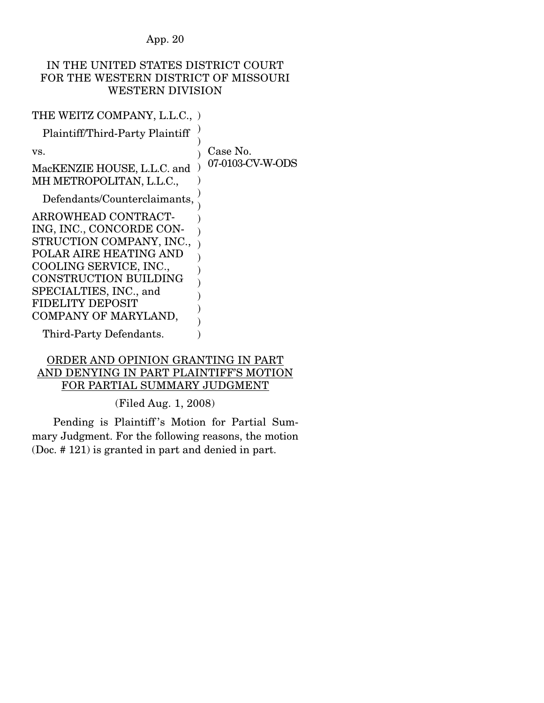# IN THE UNITED STATES DISTRICT COURT FOR THE WESTERN DISTRICT OF MISSOURI WESTERN DIVISION

)

) )

)

| THE WEITZ COMPANY, L.L.C., ) |  |  |
|------------------------------|--|--|
|------------------------------|--|--|

Plaintiff/Third-Party Plaintiff

vs. MacKENZIE HOUSE, L.L.C. and )

) ) Case No. 07-0103-CV-W-ODS

Defendants/Counterclaimants,

MH METROPOLITAN, L.L.C.,

ARROWHEAD CONTRACT-ING, INC., CONCORDE CON-STRUCTION COMPANY, INC., POLAR AIRE HEATING AND COOLING SERVICE, INC., CONSTRUCTION BUILDING SPECIALTIES, INC., and FIDELITY DEPOSIT COMPANY OF MARYLAND, ) ) ) ) ) ) ) ) )

Third-Party Defendants.

## ORDER AND OPINION GRANTING IN PART AND DENYING IN PART PLAINTIFF'S MOTION FOR PARTIAL SUMMARY JUDGMENT

(Filed Aug. 1, 2008)

 Pending is Plaintiff 's Motion for Partial Summary Judgment. For the following reasons, the motion (Doc. # 121) is granted in part and denied in part.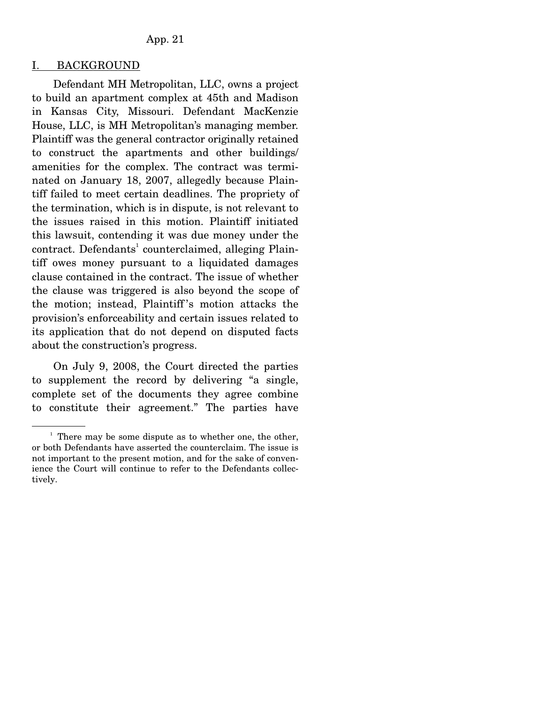#### I. BACKGROUND

 Defendant MH Metropolitan, LLC, owns a project to build an apartment complex at 45th and Madison in Kansas City, Missouri. Defendant MacKenzie House, LLC, is MH Metropolitan's managing member. Plaintiff was the general contractor originally retained to construct the apartments and other buildings/ amenities for the complex. The contract was terminated on January 18, 2007, allegedly because Plaintiff failed to meet certain deadlines. The propriety of the termination, which is in dispute, is not relevant to the issues raised in this motion. Plaintiff initiated this lawsuit, contending it was due money under the contract. Defendants<sup>1</sup> counterclaimed, alleging Plaintiff owes money pursuant to a liquidated damages clause contained in the contract. The issue of whether the clause was triggered is also beyond the scope of the motion; instead, Plaintiff 's motion attacks the provision's enforceability and certain issues related to its application that do not depend on disputed facts about the construction's progress.

 On July 9, 2008, the Court directed the parties to supplement the record by delivering "a single, complete set of the documents they agree combine to constitute their agreement." The parties have

 $1$  There may be some dispute as to whether one, the other, or both Defendants have asserted the counterclaim. The issue is not important to the present motion, and for the sake of convenience the Court will continue to refer to the Defendants collectively.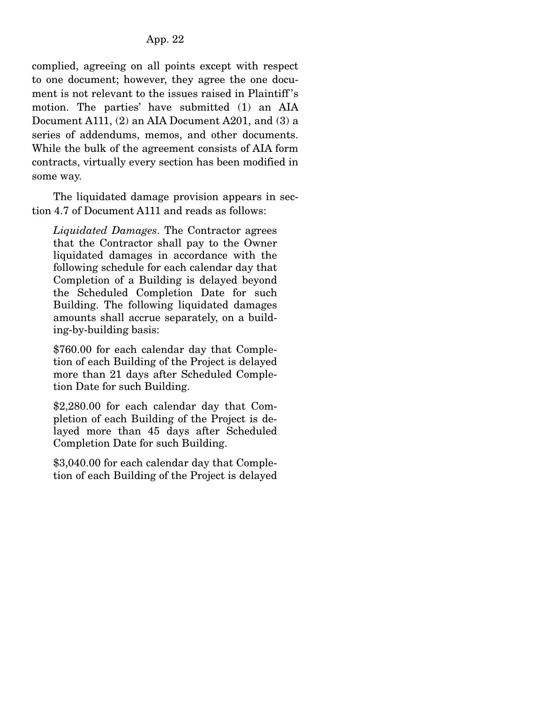complied, agreeing on all points except with respect to one document; however, they agree the one document is not relevant to the issues raised in Plaintiff 's motion. The parties' have submitted (1) an AIA Document A111, (2) an AIA Document A201, and (3) a series of addendums, memos, and other documents. While the bulk of the agreement consists of AIA form contracts, virtually every section has been modified in some way.

 The liquidated damage provision appears in section 4.7 of Document A111 and reads as follows:

*Liquidated Damages*. The Contractor agrees that the Contractor shall pay to the Owner liquidated damages in accordance with the following schedule for each calendar day that Completion of a Building is delayed beyond the Scheduled Completion Date for such Building. The following liquidated damages amounts shall accrue separately, on a building-by-building basis:

\$760.00 for each calendar day that Completion of each Building of the Project is delayed more than 21 days after Scheduled Completion Date for such Building.

\$2,280.00 for each calendar day that Completion of each Building of the Project is delayed more than 45 days after Scheduled Completion Date for such Building.

\$3,040.00 for each calendar day that Completion of each Building of the Project is delayed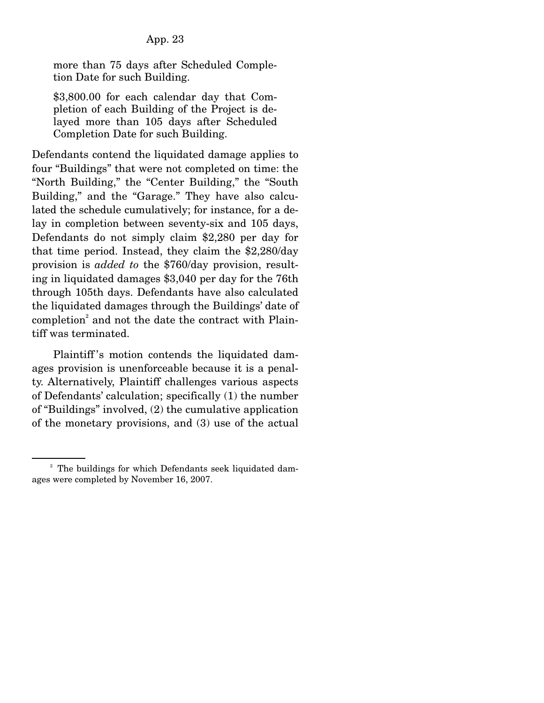more than 75 days after Scheduled Completion Date for such Building.

\$3,800.00 for each calendar day that Completion of each Building of the Project is delayed more than 105 days after Scheduled Completion Date for such Building.

Defendants contend the liquidated damage applies to four "Buildings" that were not completed on time: the "North Building," the "Center Building," the "South Building," and the "Garage." They have also calculated the schedule cumulatively; for instance, for a delay in completion between seventy-six and 105 days, Defendants do not simply claim \$2,280 per day for that time period. Instead, they claim the \$2,280/day provision is *added to* the \$760/day provision, resulting in liquidated damages \$3,040 per day for the 76th through 105th days. Defendants have also calculated the liquidated damages through the Buildings' date of completion<sup>2</sup> and not the date the contract with Plaintiff was terminated.

 Plaintiff 's motion contends the liquidated damages provision is unenforceable because it is a penalty. Alternatively, Plaintiff challenges various aspects of Defendants' calculation; specifically (1) the number of "Buildings" involved, (2) the cumulative application of the monetary provisions, and (3) use of the actual

<sup>&</sup>lt;sup>2</sup> The buildings for which Defendants seek liquidated damages were completed by November 16, 2007.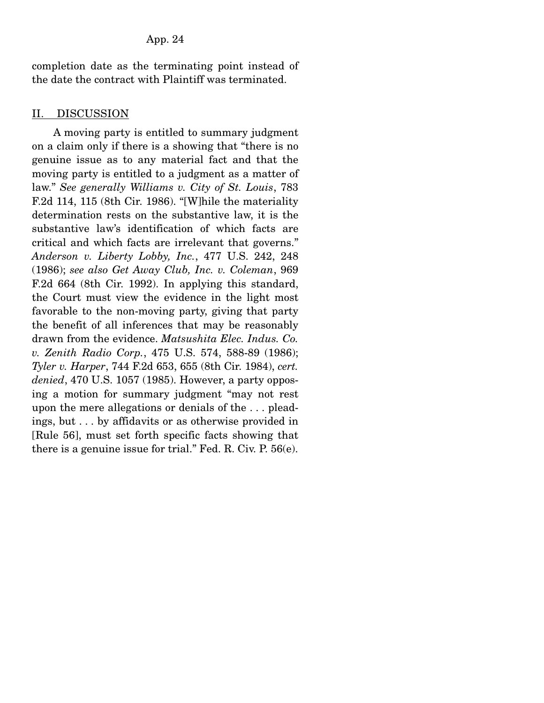completion date as the terminating point instead of the date the contract with Plaintiff was terminated.

# II. DISCUSSION

 A moving party is entitled to summary judgment on a claim only if there is a showing that "there is no genuine issue as to any material fact and that the moving party is entitled to a judgment as a matter of law." *See generally Williams v. City of St. Louis*, 783 F.2d 114, 115 (8th Cir. 1986). "[W]hile the materiality determination rests on the substantive law, it is the substantive law's identification of which facts are critical and which facts are irrelevant that governs." *Anderson v. Liberty Lobby, Inc.*, 477 U.S. 242, 248 (1986); *see also Get Away Club, Inc. v. Coleman*, 969 F.2d 664 (8th Cir. 1992). In applying this standard, the Court must view the evidence in the light most favorable to the non-moving party, giving that party the benefit of all inferences that may be reasonably drawn from the evidence. *Matsushita Elec. Indus. Co. v. Zenith Radio Corp.*, 475 U.S. 574, 588-89 (1986); *Tyler v. Harper*, 744 F.2d 653, 655 (8th Cir. 1984), *cert. denied*, 470 U.S. 1057 (1985). However, a party opposing a motion for summary judgment "may not rest upon the mere allegations or denials of the . . . pleadings, but . . . by affidavits or as otherwise provided in [Rule 56], must set forth specific facts showing that there is a genuine issue for trial." Fed. R. Civ. P. 56(e).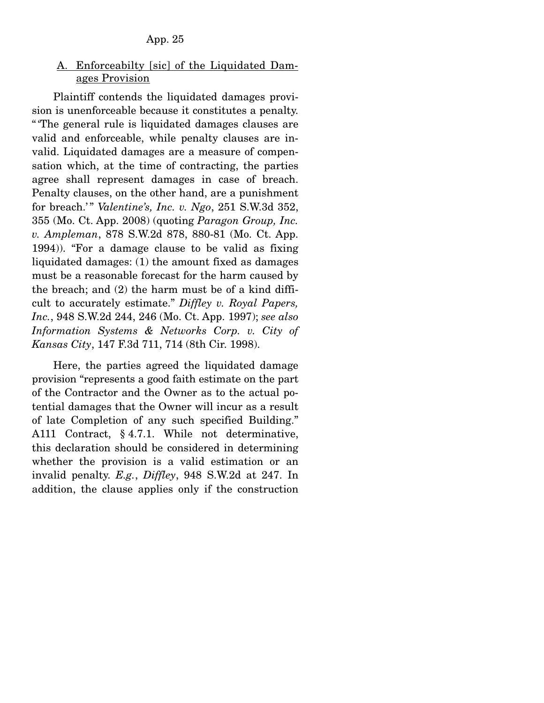## A. Enforceabilty [sic] of the Liquidated Damages Provision

 Plaintiff contends the liquidated damages provision is unenforceable because it constitutes a penalty. " 'The general rule is liquidated damages clauses are valid and enforceable, while penalty clauses are invalid. Liquidated damages are a measure of compensation which, at the time of contracting, the parties agree shall represent damages in case of breach. Penalty clauses, on the other hand, are a punishment for breach.' " *Valentine's, Inc. v. Ngo*, 251 S.W.3d 352, 355 (Mo. Ct. App. 2008) (quoting *Paragon Group, Inc. v. Ampleman*, 878 S.W.2d 878, 880-81 (Mo. Ct. App. 1994)). "For a damage clause to be valid as fixing liquidated damages: (1) the amount fixed as damages must be a reasonable forecast for the harm caused by the breach; and (2) the harm must be of a kind difficult to accurately estimate." *Diffley v. Royal Papers, Inc.*, 948 S.W.2d 244, 246 (Mo. Ct. App. 1997); *see also Information Systems & Networks Corp. v. City of Kansas City*, 147 F.3d 711, 714 (8th Cir. 1998).

 Here, the parties agreed the liquidated damage provision "represents a good faith estimate on the part of the Contractor and the Owner as to the actual potential damages that the Owner will incur as a result of late Completion of any such specified Building." A111 Contract, § 4.7.1. While not determinative, this declaration should be considered in determining whether the provision is a valid estimation or an invalid penalty. *E.g.*, *Diffley*, 948 S.W.2d at 247. In addition, the clause applies only if the construction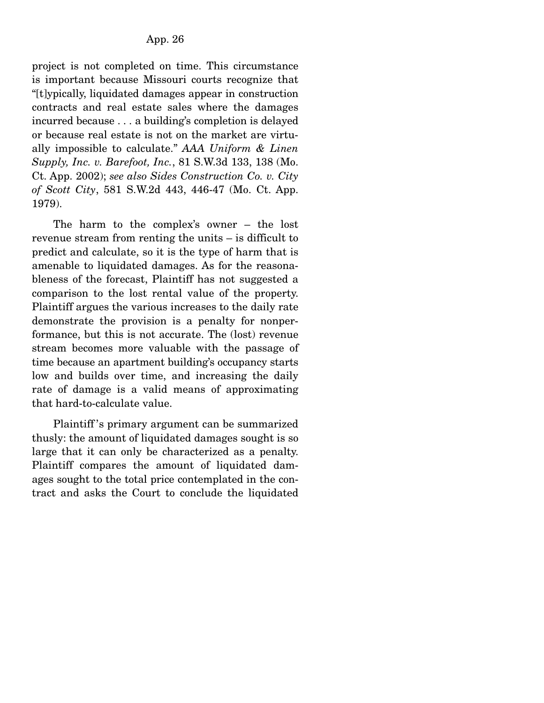project is not completed on time. This circumstance is important because Missouri courts recognize that "[t]ypically, liquidated damages appear in construction contracts and real estate sales where the damages incurred because . . . a building's completion is delayed or because real estate is not on the market are virtually impossible to calculate." *AAA Uniform & Linen Supply, Inc. v. Barefoot, Inc.*, 81 S.W.3d 133, 138 (Mo. Ct. App. 2002); *see also Sides Construction Co. v. City of Scott City*, 581 S.W.2d 443, 446-47 (Mo. Ct. App. 1979).

 The harm to the complex's owner – the lost revenue stream from renting the units – is difficult to predict and calculate, so it is the type of harm that is amenable to liquidated damages. As for the reasonableness of the forecast, Plaintiff has not suggested a comparison to the lost rental value of the property. Plaintiff argues the various increases to the daily rate demonstrate the provision is a penalty for nonperformance, but this is not accurate. The (lost) revenue stream becomes more valuable with the passage of time because an apartment building's occupancy starts low and builds over time, and increasing the daily rate of damage is a valid means of approximating that hard-to-calculate value.

 Plaintiff 's primary argument can be summarized thusly: the amount of liquidated damages sought is so large that it can only be characterized as a penalty. Plaintiff compares the amount of liquidated damages sought to the total price contemplated in the contract and asks the Court to conclude the liquidated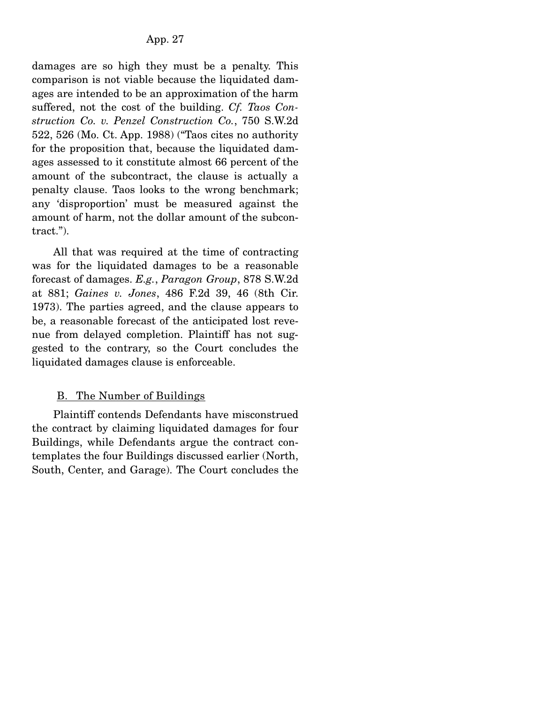damages are so high they must be a penalty. This comparison is not viable because the liquidated damages are intended to be an approximation of the harm suffered, not the cost of the building. *Cf. Taos Construction Co. v. Penzel Construction Co.*, 750 S.W.2d 522, 526 (Mo. Ct. App. 1988) ("Taos cites no authority for the proposition that, because the liquidated damages assessed to it constitute almost 66 percent of the amount of the subcontract, the clause is actually a penalty clause. Taos looks to the wrong benchmark; any 'disproportion' must be measured against the amount of harm, not the dollar amount of the subcontract.").

 All that was required at the time of contracting was for the liquidated damages to be a reasonable forecast of damages. *E.g.*, *Paragon Group*, 878 S.W.2d at 881; *Gaines v. Jones*, 486 F.2d 39, 46 (8th Cir. 1973). The parties agreed, and the clause appears to be, a reasonable forecast of the anticipated lost revenue from delayed completion. Plaintiff has not suggested to the contrary, so the Court concludes the liquidated damages clause is enforceable.

# B. The Number of Buildings

 Plaintiff contends Defendants have misconstrued the contract by claiming liquidated damages for four Buildings, while Defendants argue the contract contemplates the four Buildings discussed earlier (North, South, Center, and Garage). The Court concludes the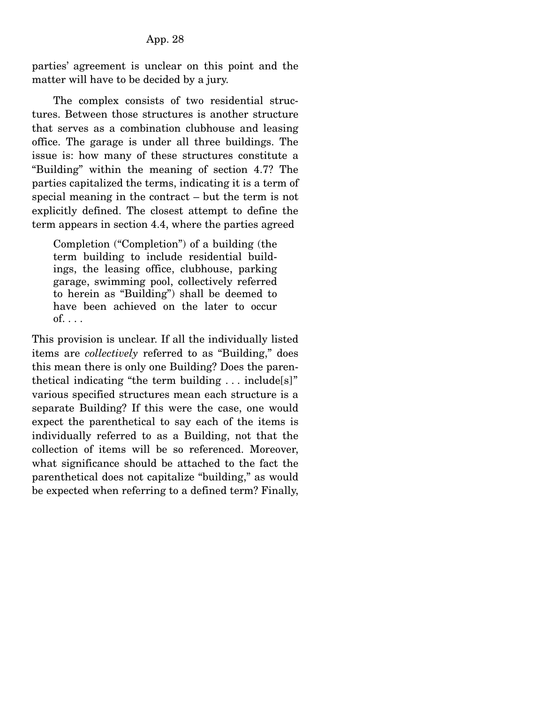parties' agreement is unclear on this point and the matter will have to be decided by a jury.

 The complex consists of two residential structures. Between those structures is another structure that serves as a combination clubhouse and leasing office. The garage is under all three buildings. The issue is: how many of these structures constitute a "Building" within the meaning of section 4.7? The parties capitalized the terms, indicating it is a term of special meaning in the contract – but the term is not explicitly defined. The closest attempt to define the term appears in section 4.4, where the parties agreed

Completion ("Completion") of a building (the term building to include residential buildings, the leasing office, clubhouse, parking garage, swimming pool, collectively referred to herein as "Building") shall be deemed to have been achieved on the later to occur  $of. \ldots$ 

This provision is unclear. If all the individually listed items are *collectively* referred to as "Building," does this mean there is only one Building? Does the parenthetical indicating "the term building . . . include[s]" various specified structures mean each structure is a separate Building? If this were the case, one would expect the parenthetical to say each of the items is individually referred to as a Building, not that the collection of items will be so referenced. Moreover, what significance should be attached to the fact the parenthetical does not capitalize "building," as would be expected when referring to a defined term? Finally,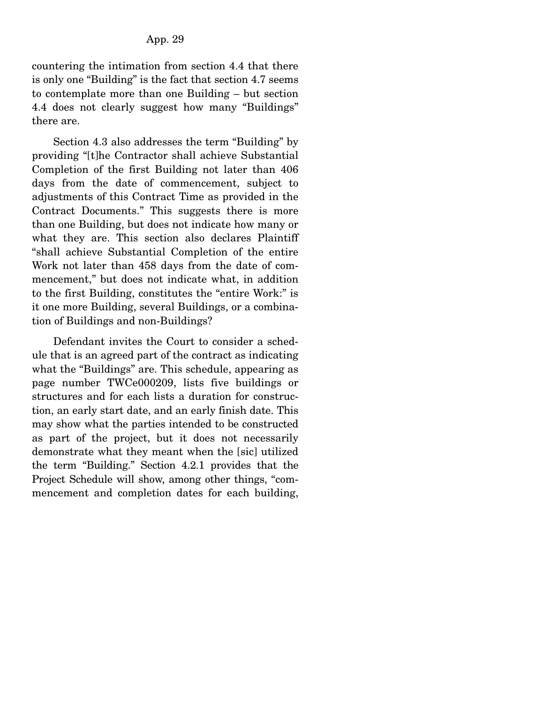countering the intimation from section 4.4 that there is only one "Building" is the fact that section 4.7 seems to contemplate more than one Building – but section 4.4 does not clearly suggest how many "Buildings" there are.

 Section 4.3 also addresses the term "Building" by providing "[t]he Contractor shall achieve Substantial Completion of the first Building not later than 406 days from the date of commencement, subject to adjustments of this Contract Time as provided in the Contract Documents." This suggests there is more than one Building, but does not indicate how many or what they are. This section also declares Plaintiff "shall achieve Substantial Completion of the entire Work not later than 458 days from the date of commencement," but does not indicate what, in addition to the first Building, constitutes the "entire Work:" is it one more Building, several Buildings, or a combination of Buildings and non-Buildings?

 Defendant invites the Court to consider a schedule that is an agreed part of the contract as indicating what the "Buildings" are. This schedule, appearing as page number TWCe000209, lists five buildings or structures and for each lists a duration for construction, an early start date, and an early finish date. This may show what the parties intended to be constructed as part of the project, but it does not necessarily demonstrate what they meant when the [sic] utilized the term "Building." Section 4.2.1 provides that the Project Schedule will show, among other things, "commencement and completion dates for each building,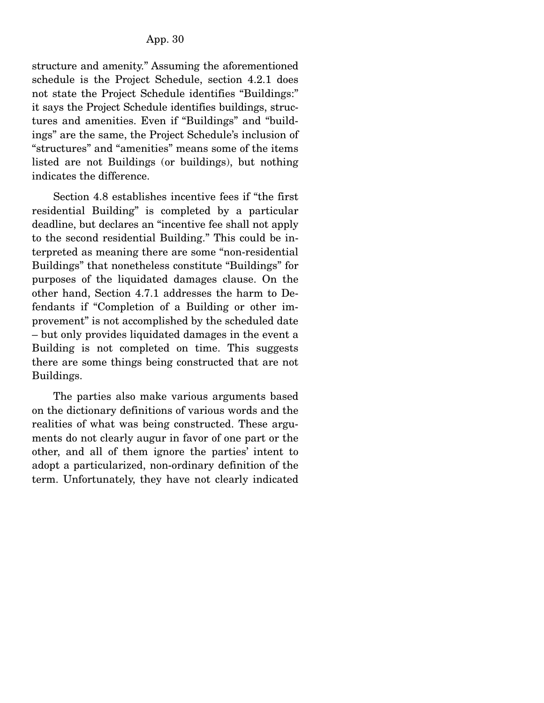structure and amenity." Assuming the aforementioned schedule is the Project Schedule, section 4.2.1 does not state the Project Schedule identifies "Buildings:" it says the Project Schedule identifies buildings, structures and amenities. Even if "Buildings" and "buildings" are the same, the Project Schedule's inclusion of "structures" and "amenities" means some of the items listed are not Buildings (or buildings), but nothing indicates the difference.

 Section 4.8 establishes incentive fees if "the first residential Building" is completed by a particular deadline, but declares an "incentive fee shall not apply to the second residential Building." This could be interpreted as meaning there are some "non-residential Buildings" that nonetheless constitute "Buildings" for purposes of the liquidated damages clause. On the other hand, Section 4.7.1 addresses the harm to Defendants if "Completion of a Building or other improvement" is not accomplished by the scheduled date – but only provides liquidated damages in the event a Building is not completed on time. This suggests there are some things being constructed that are not Buildings.

 The parties also make various arguments based on the dictionary definitions of various words and the realities of what was being constructed. These arguments do not clearly augur in favor of one part or the other, and all of them ignore the parties' intent to adopt a particularized, non-ordinary definition of the term. Unfortunately, they have not clearly indicated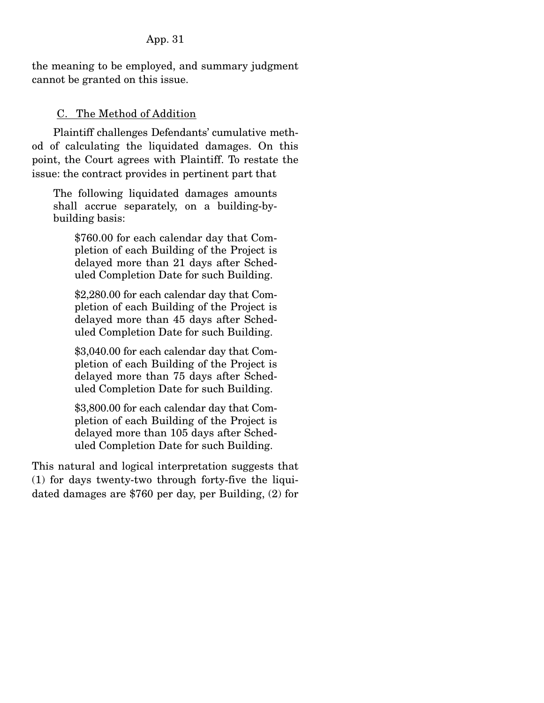the meaning to be employed, and summary judgment cannot be granted on this issue.

# C. The Method of Addition

 Plaintiff challenges Defendants' cumulative method of calculating the liquidated damages. On this point, the Court agrees with Plaintiff. To restate the issue: the contract provides in pertinent part that

The following liquidated damages amounts shall accrue separately, on a building-bybuilding basis:

\$760.00 for each calendar day that Completion of each Building of the Project is delayed more than 21 days after Scheduled Completion Date for such Building.

\$2,280.00 for each calendar day that Completion of each Building of the Project is delayed more than 45 days after Scheduled Completion Date for such Building.

\$3,040.00 for each calendar day that Completion of each Building of the Project is delayed more than 75 days after Scheduled Completion Date for such Building.

\$3,800.00 for each calendar day that Completion of each Building of the Project is delayed more than 105 days after Scheduled Completion Date for such Building.

This natural and logical interpretation suggests that (1) for days twenty-two through forty-five the liquidated damages are \$760 per day, per Building, (2) for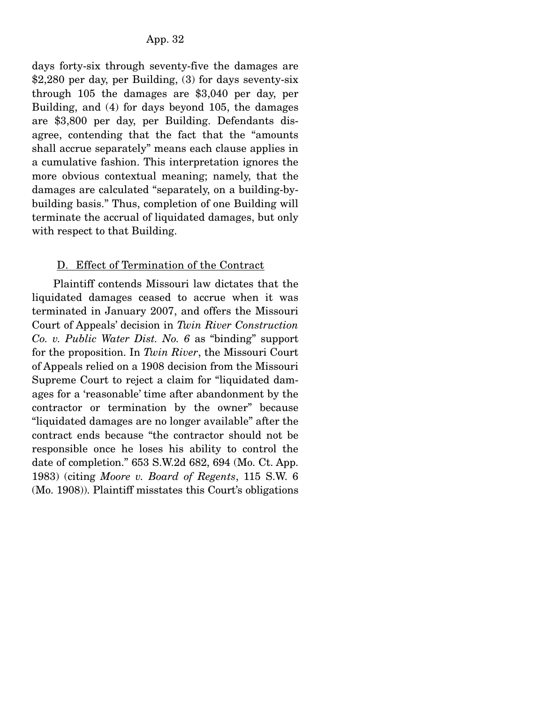days forty-six through seventy-five the damages are \$2,280 per day, per Building, (3) for days seventy-six through 105 the damages are \$3,040 per day, per Building, and (4) for days beyond 105, the damages are \$3,800 per day, per Building. Defendants disagree, contending that the fact that the "amounts shall accrue separately" means each clause applies in a cumulative fashion. This interpretation ignores the more obvious contextual meaning; namely, that the damages are calculated "separately, on a building-bybuilding basis." Thus, completion of one Building will terminate the accrual of liquidated damages, but only with respect to that Building.

# D. Effect of Termination of the Contract

 Plaintiff contends Missouri law dictates that the liquidated damages ceased to accrue when it was terminated in January 2007, and offers the Missouri Court of Appeals' decision in *Twin River Construction Co. v. Public Water Dist. No. 6* as "binding" support for the proposition. In *Twin River*, the Missouri Court of Appeals relied on a 1908 decision from the Missouri Supreme Court to reject a claim for "liquidated damages for a 'reasonable' time after abandonment by the contractor or termination by the owner" because "liquidated damages are no longer available" after the contract ends because "the contractor should not be responsible once he loses his ability to control the date of completion." 653 S.W.2d 682, 694 (Mo. Ct. App. 1983) (citing *Moore v. Board of Regents*, 115 S.W. 6 (Mo. 1908)). Plaintiff misstates this Court's obligations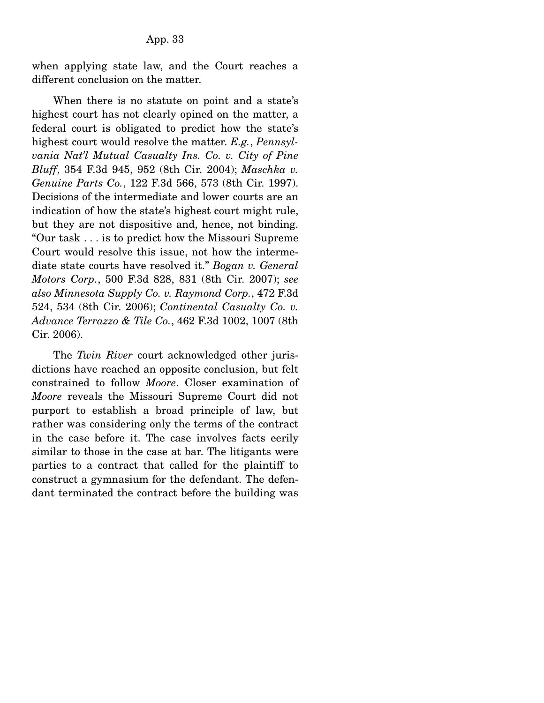when applying state law, and the Court reaches a different conclusion on the matter.

 When there is no statute on point and a state's highest court has not clearly opined on the matter, a federal court is obligated to predict how the state's highest court would resolve the matter. *E.g.*, *Pennsylvania Nat'l Mutual Casualty Ins. Co. v. City of Pine Bluff*, 354 F.3d 945, 952 (8th Cir. 2004); *Maschka v. Genuine Parts Co.*, 122 F.3d 566, 573 (8th Cir. 1997). Decisions of the intermediate and lower courts are an indication of how the state's highest court might rule, but they are not dispositive and, hence, not binding. "Our task . . . is to predict how the Missouri Supreme Court would resolve this issue, not how the intermediate state courts have resolved it." *Bogan v. General Motors Corp.*, 500 F.3d 828, 831 (8th Cir. 2007); *see also Minnesota Supply Co. v. Raymond Corp.*, 472 F.3d 524, 534 (8th Cir. 2006); *Continental Casualty Co. v. Advance Terrazzo & Tile Co.*, 462 F.3d 1002, 1007 (8th Cir. 2006).

 The *Twin River* court acknowledged other jurisdictions have reached an opposite conclusion, but felt constrained to follow *Moore*. Closer examination of *Moore* reveals the Missouri Supreme Court did not purport to establish a broad principle of law, but rather was considering only the terms of the contract in the case before it. The case involves facts eerily similar to those in the case at bar. The litigants were parties to a contract that called for the plaintiff to construct a gymnasium for the defendant. The defendant terminated the contract before the building was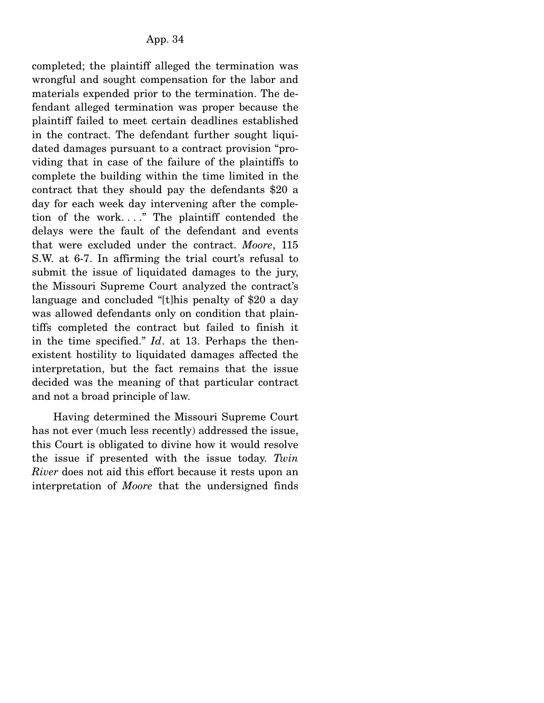completed; the plaintiff alleged the termination was wrongful and sought compensation for the labor and materials expended prior to the termination. The defendant alleged termination was proper because the plaintiff failed to meet certain deadlines established in the contract. The defendant further sought liquidated damages pursuant to a contract provision "providing that in case of the failure of the plaintiffs to complete the building within the time limited in the contract that they should pay the defendants \$20 a day for each week day intervening after the completion of the work. . . ." The plaintiff contended the delays were the fault of the defendant and events that were excluded under the contract. *Moore*, 115 S.W. at 6-7. In affirming the trial court's refusal to submit the issue of liquidated damages to the jury, the Missouri Supreme Court analyzed the contract's language and concluded "[t]his penalty of \$20 a day was allowed defendants only on condition that plaintiffs completed the contract but failed to finish it in the time specified." *Id*. at 13. Perhaps the thenexistent hostility to liquidated damages affected the interpretation, but the fact remains that the issue decided was the meaning of that particular contract and not a broad principle of law.

 Having determined the Missouri Supreme Court has not ever (much less recently) addressed the issue, this Court is obligated to divine how it would resolve the issue if presented with the issue today. *Twin River* does not aid this effort because it rests upon an interpretation of *Moore* that the undersigned finds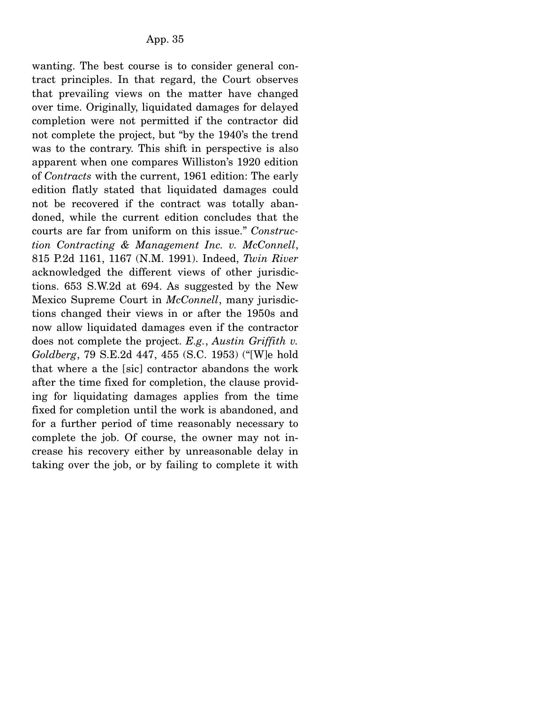wanting. The best course is to consider general contract principles. In that regard, the Court observes that prevailing views on the matter have changed over time. Originally, liquidated damages for delayed completion were not permitted if the contractor did not complete the project, but "by the 1940's the trend was to the contrary. This shift in perspective is also apparent when one compares Williston's 1920 edition of *Contracts* with the current, 1961 edition: The early edition flatly stated that liquidated damages could not be recovered if the contract was totally abandoned, while the current edition concludes that the courts are far from uniform on this issue." *Construction Contracting & Management Inc. v. McConnell*, 815 P.2d 1161, 1167 (N.M. 1991). Indeed, *Twin River* acknowledged the different views of other jurisdictions. 653 S.W.2d at 694. As suggested by the New Mexico Supreme Court in *McConnell*, many jurisdictions changed their views in or after the 1950s and now allow liquidated damages even if the contractor does not complete the project. *E.g.*, *Austin Griffith v. Goldberg*, 79 S.E.2d 447, 455 (S.C. 1953) ("[W]e hold that where a the [sic] contractor abandons the work after the time fixed for completion, the clause providing for liquidating damages applies from the time fixed for completion until the work is abandoned, and for a further period of time reasonably necessary to complete the job. Of course, the owner may not increase his recovery either by unreasonable delay in taking over the job, or by failing to complete it with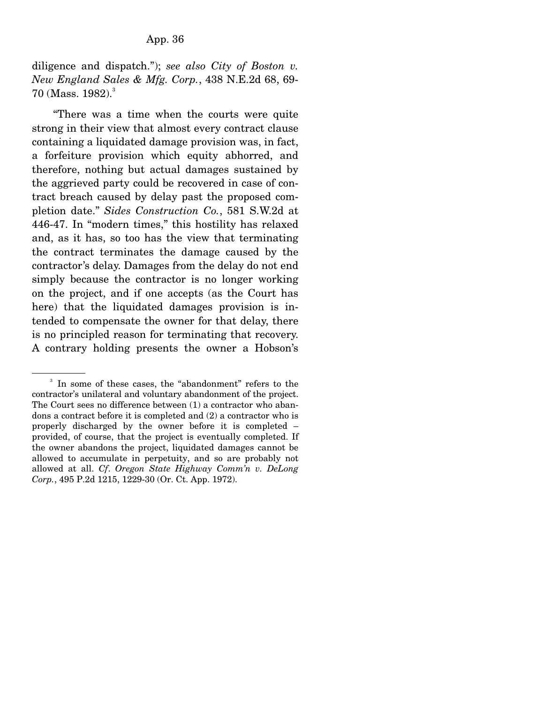diligence and dispatch."); *see also City of Boston v. New England Sales & Mfg. Corp.*, 438 N.E.2d 68, 69- 70 (Mass.  $1982$ ).<sup>3</sup>

 "There was a time when the courts were quite strong in their view that almost every contract clause containing a liquidated damage provision was, in fact, a forfeiture provision which equity abhorred, and therefore, nothing but actual damages sustained by the aggrieved party could be recovered in case of contract breach caused by delay past the proposed completion date." *Sides Construction Co.*, 581 S.W.2d at 446-47. In "modern times," this hostility has relaxed and, as it has, so too has the view that terminating the contract terminates the damage caused by the contractor's delay. Damages from the delay do not end simply because the contractor is no longer working on the project, and if one accepts (as the Court has here) that the liquidated damages provision is intended to compensate the owner for that delay, there is no principled reason for terminating that recovery. A contrary holding presents the owner a Hobson's

<sup>3</sup> In some of these cases, the "abandonment" refers to the contractor's unilateral and voluntary abandonment of the project. The Court sees no difference between (1) a contractor who abandons a contract before it is completed and (2) a contractor who is properly discharged by the owner before it is completed – provided, of course, that the project is eventually completed. If the owner abandons the project, liquidated damages cannot be allowed to accumulate in perpetuity, and so are probably not allowed at all. *Cf*. *Oregon State Highway Comm'n v. DeLong Corp.*, 495 P.2d 1215, 1229-30 (Or. Ct. App. 1972).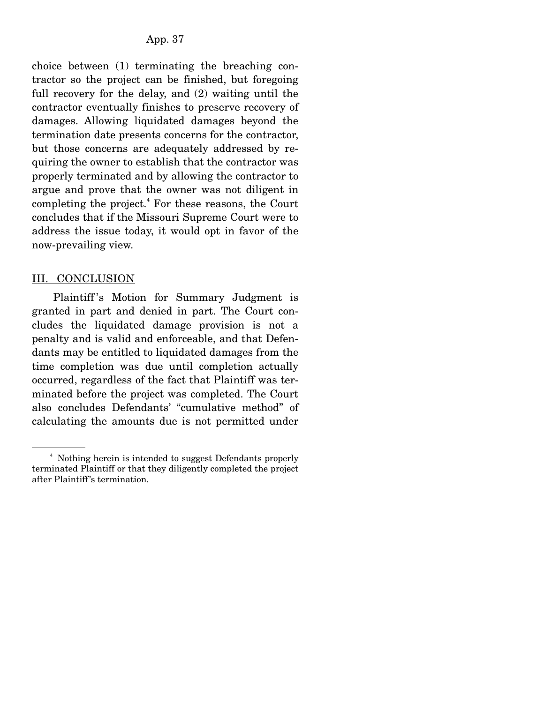choice between (1) terminating the breaching contractor so the project can be finished, but foregoing full recovery for the delay, and (2) waiting until the contractor eventually finishes to preserve recovery of damages. Allowing liquidated damages beyond the termination date presents concerns for the contractor, but those concerns are adequately addressed by requiring the owner to establish that the contractor was properly terminated and by allowing the contractor to argue and prove that the owner was not diligent in completing the project.<sup>4</sup> For these reasons, the Court concludes that if the Missouri Supreme Court were to address the issue today, it would opt in favor of the now-prevailing view.

#### III. CONCLUSION

 Plaintiff 's Motion for Summary Judgment is granted in part and denied in part. The Court concludes the liquidated damage provision is not a penalty and is valid and enforceable, and that Defendants may be entitled to liquidated damages from the time completion was due until completion actually occurred, regardless of the fact that Plaintiff was terminated before the project was completed. The Court also concludes Defendants' "cumulative method" of calculating the amounts due is not permitted under

<sup>4</sup> Nothing herein is intended to suggest Defendants properly terminated Plaintiff or that they diligently completed the project after Plaintiff's termination.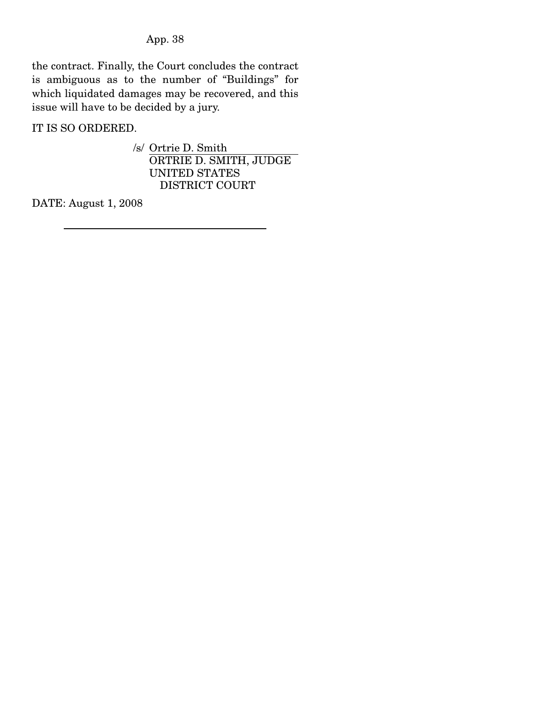the contract. Finally, the Court concludes the contract is ambiguous as to the number of "Buildings" for which liquidated damages may be recovered, and this issue will have to be decided by a jury.

IT IS SO ORDERED.

/s/ Ortrie D. Smith ORTRIE D. SMITH, JUDGE UNITED STATES DISTRICT COURT

DATE: August 1, 2008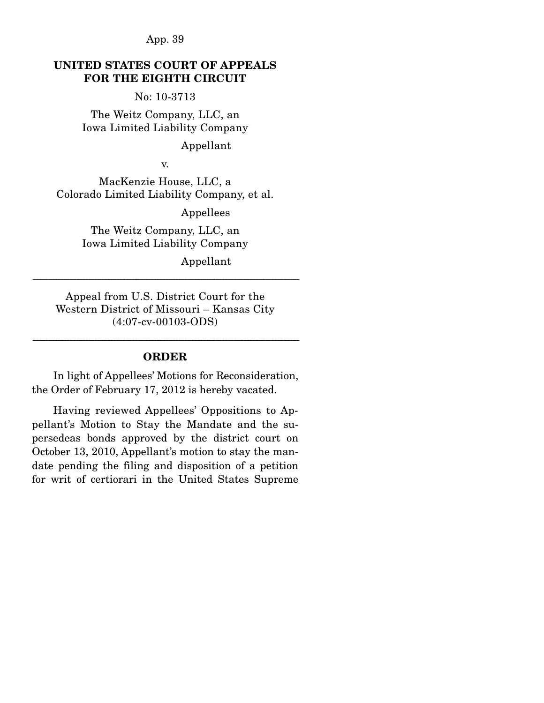### **UNITED STATES COURT OF APPEALS FOR THE EIGHTH CIRCUIT**

No: 10-3713

The Weitz Company, LLC, an Iowa Limited Liability Company

Appellant

v.

MacKenzie House, LLC, a Colorado Limited Liability Company, et al.

Appellees

The Weitz Company, LLC, an Iowa Limited Liability Company

Appellant

Appeal from U.S. District Court for the Western District of Missouri – Kansas City (4:07-cv-00103-ODS)

------------------------------------------------------------------------------------------------------------------------------------------------------------------------------------

## ------------------------------------------------------------------------------------------------------------------------------------------------------------------------------------ **ORDER**

 In light of Appellees' Motions for Reconsideration, the Order of February 17, 2012 is hereby vacated.

 Having reviewed Appellees' Oppositions to Appellant's Motion to Stay the Mandate and the supersedeas bonds approved by the district court on October 13, 2010, Appellant's motion to stay the mandate pending the filing and disposition of a petition for writ of certiorari in the United States Supreme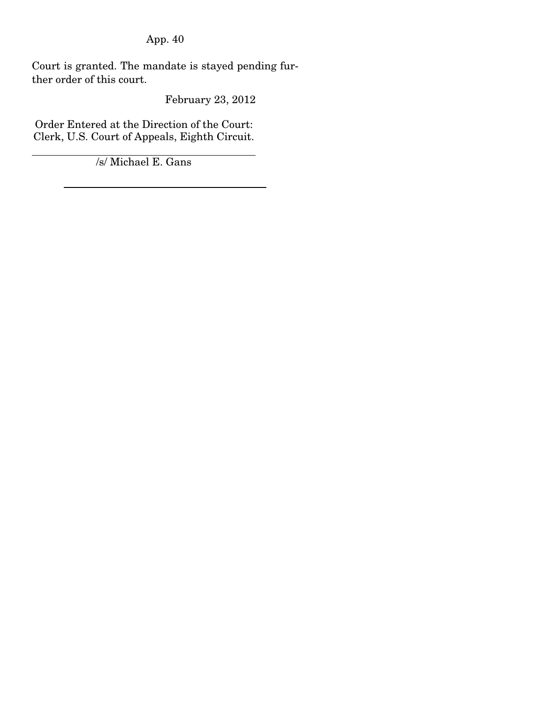Court is granted. The mandate is stayed pending further order of this court.

February 23, 2012

Order Entered at the Direction of the Court: Clerk, U.S. Court of Appeals, Eighth Circuit.

/s/ Michael E. Gans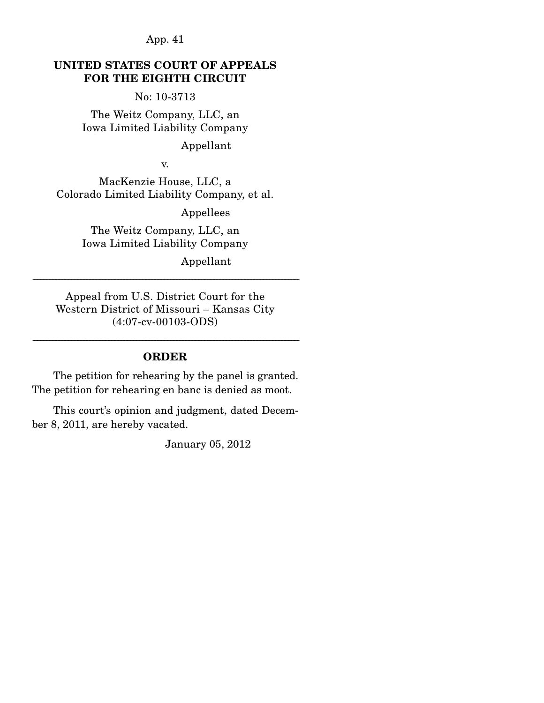### **UNITED STATES COURT OF APPEALS FOR THE EIGHTH CIRCUIT**

No: 10-3713

The Weitz Company, LLC, an Iowa Limited Liability Company

Appellant

v.

MacKenzie House, LLC, a Colorado Limited Liability Company, et al.

Appellees

The Weitz Company, LLC, an Iowa Limited Liability Company

Appellant

Appeal from U.S. District Court for the Western District of Missouri – Kansas City (4:07-cv-00103-ODS)

------------------------------------------------------------------------------------------------------------------------------------------------------------------------------------

# ------------------------------------------------------------------------------------------------------------------------------------------------------------------------------------ **ORDER**

 The petition for rehearing by the panel is granted. The petition for rehearing en banc is denied as moot.

 This court's opinion and judgment, dated December 8, 2011, are hereby vacated.

January 05, 2012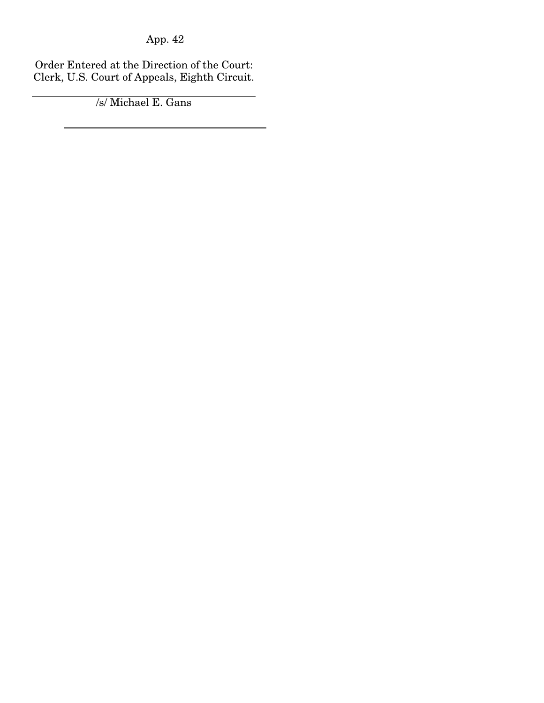÷.

Order Entered at the Direction of the Court: Clerk, U.S. Court of Appeals, Eighth Circuit.

/s/ Michael E. Gans